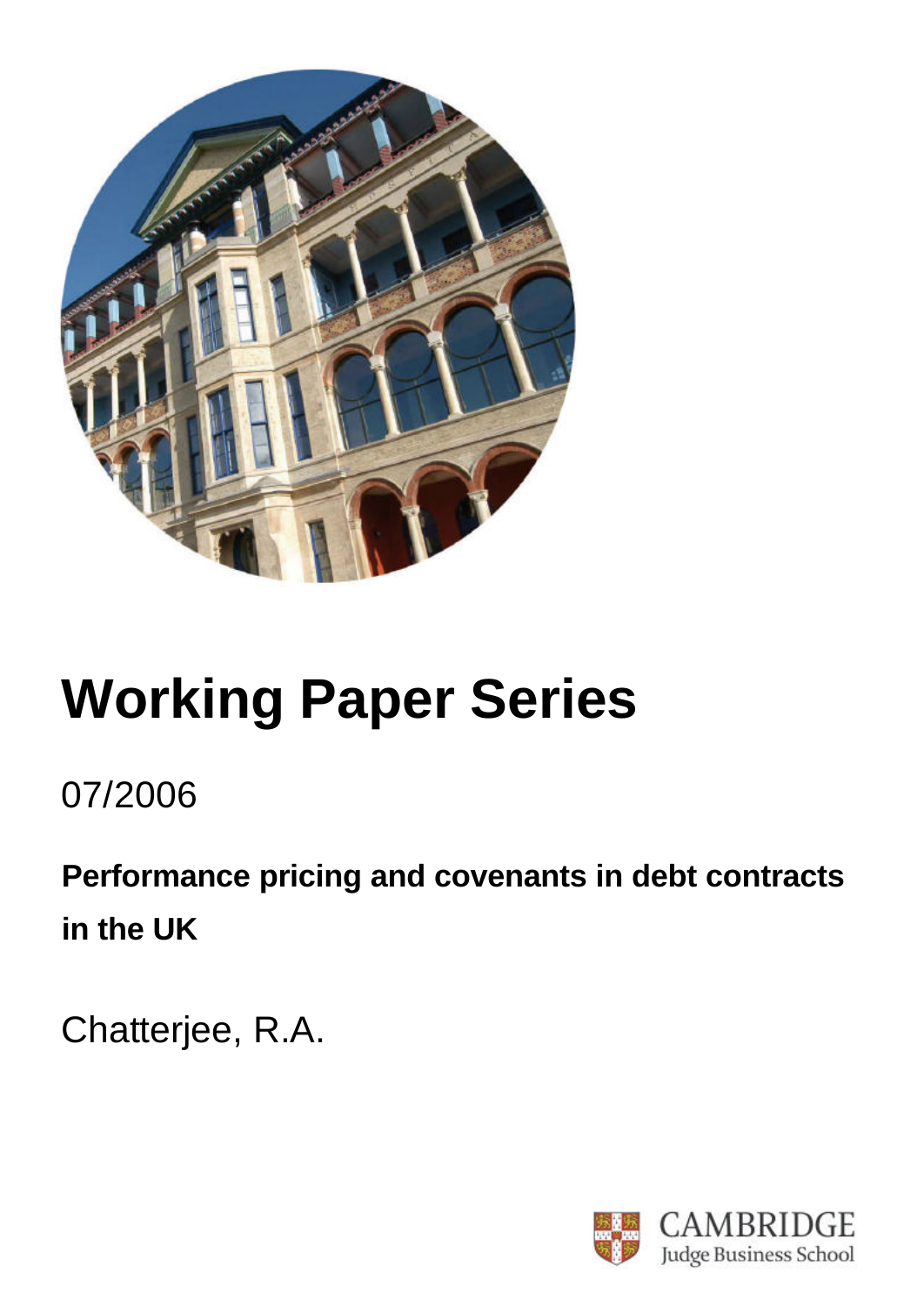

# **Working Paper Series**

## 07/2006

**Performance pricing and covenants in debt contracts in the UK**

Chatterjee, R.A.

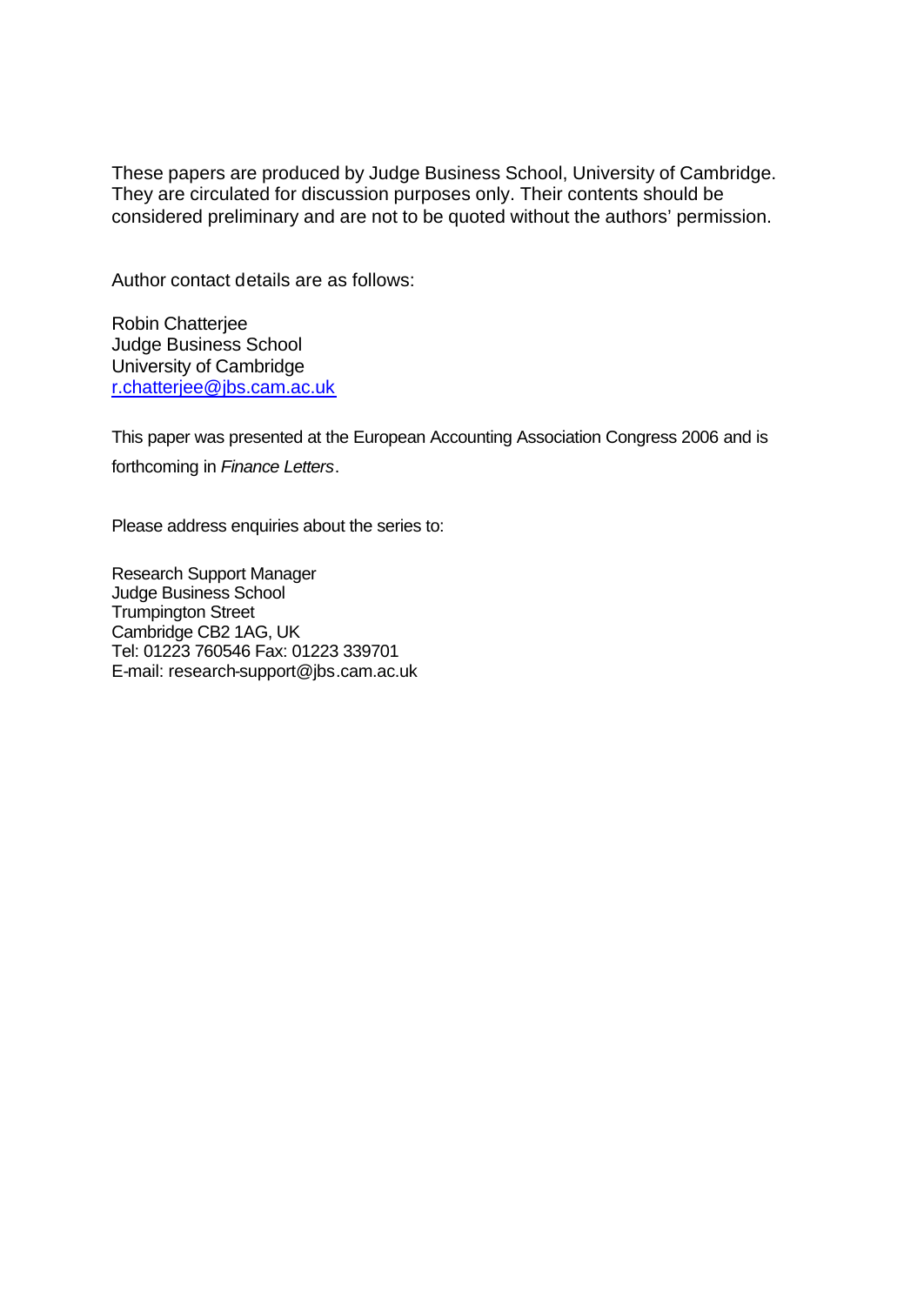These papers are produced by Judge Business School, University of Cambridge. They are circulated for discussion purposes only. Their contents should be considered preliminary and are not to be quoted without the authors' permission.

Author contact details are as follows:

Robin Chatterjee Judge Business School University of Cambridge r.chatterjee@jbs.cam.ac.uk

This paper was presented at the European Accounting Association Congress 2006 and is forthcoming in *Finance Letters*.

Please address enquiries about the series to:

Research Support Manager Judge Business School Trumpington Street Cambridge CB2 1AG, UK Tel: 01223 760546 Fax: 01223 339701 E-mail: research-support@jbs.cam.ac.uk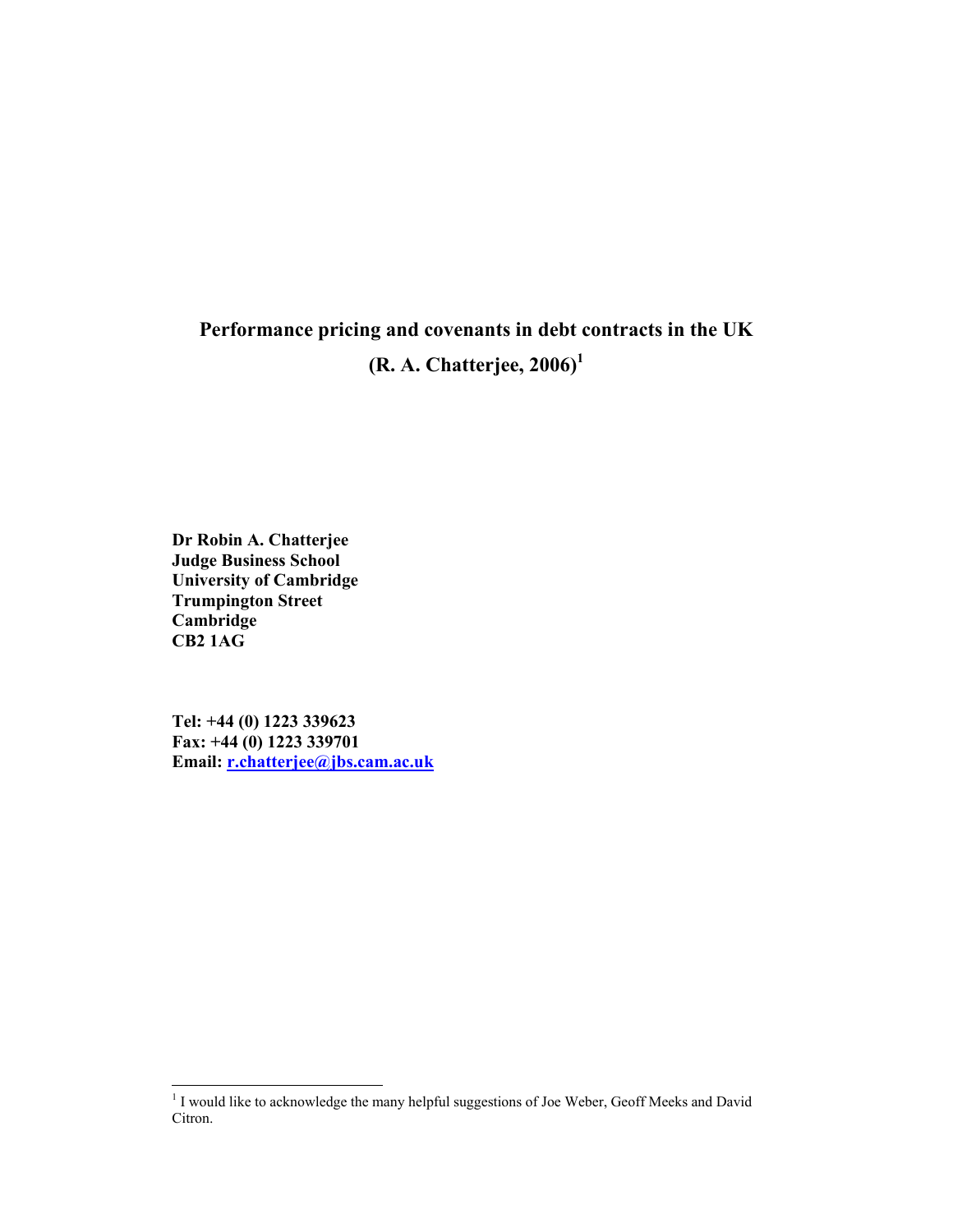### Performance pricing and covenants in debt contracts in the UK  $(R. A. Chatterjee, 2006)^1$

Dr Robin A. Chatterjee Judge Business School University of Cambridge Trumpington Street Cambridge CB2 1AG

Tel: +44 (0) 1223 339623 Fax: +44 (0) 1223 339701 Email: r.chatterjee@jbs.cam.ac.uk

<sup>&</sup>lt;sup>1</sup> I would like to acknowledge the many helpful suggestions of Joe Weber, Geoff Meeks and David Citron.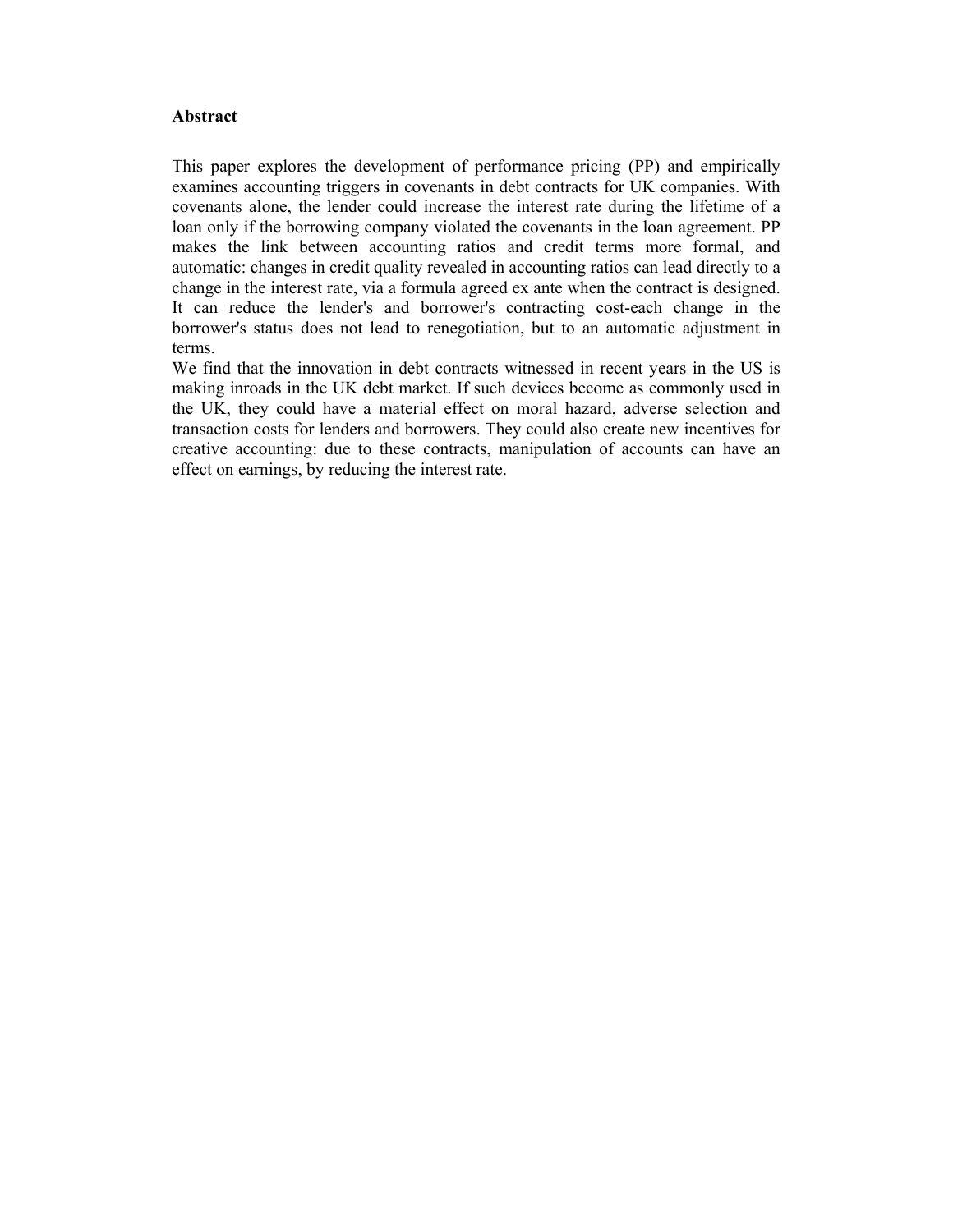#### **Abstract**

This paper explores the development of performance pricing (PP) and empirically examines accounting triggers in covenants in debt contracts for UK companies. With covenants alone, the lender could increase the interest rate during the lifetime of a loan only if the borrowing company violated the covenants in the loan agreement. PP makes the link between accounting ratios and credit terms more formal, and automatic: changes in credit quality revealed in accounting ratios can lead directly to a change in the interest rate, via a formula agreed ex ante when the contract is designed. It can reduce the lender's and borrower's contracting cost-each change in the borrower's status does not lead to renegotiation, but to an automatic adjustment in terms.

We find that the innovation in debt contracts witnessed in recent years in the US is making inroads in the UK debt market. If such devices become as commonly used in the UK, they could have a material effect on moral hazard, adverse selection and transaction costs for lenders and borrowers. They could also create new incentives for creative accounting: due to these contracts, manipulation of accounts can have an effect on earnings, by reducing the interest rate.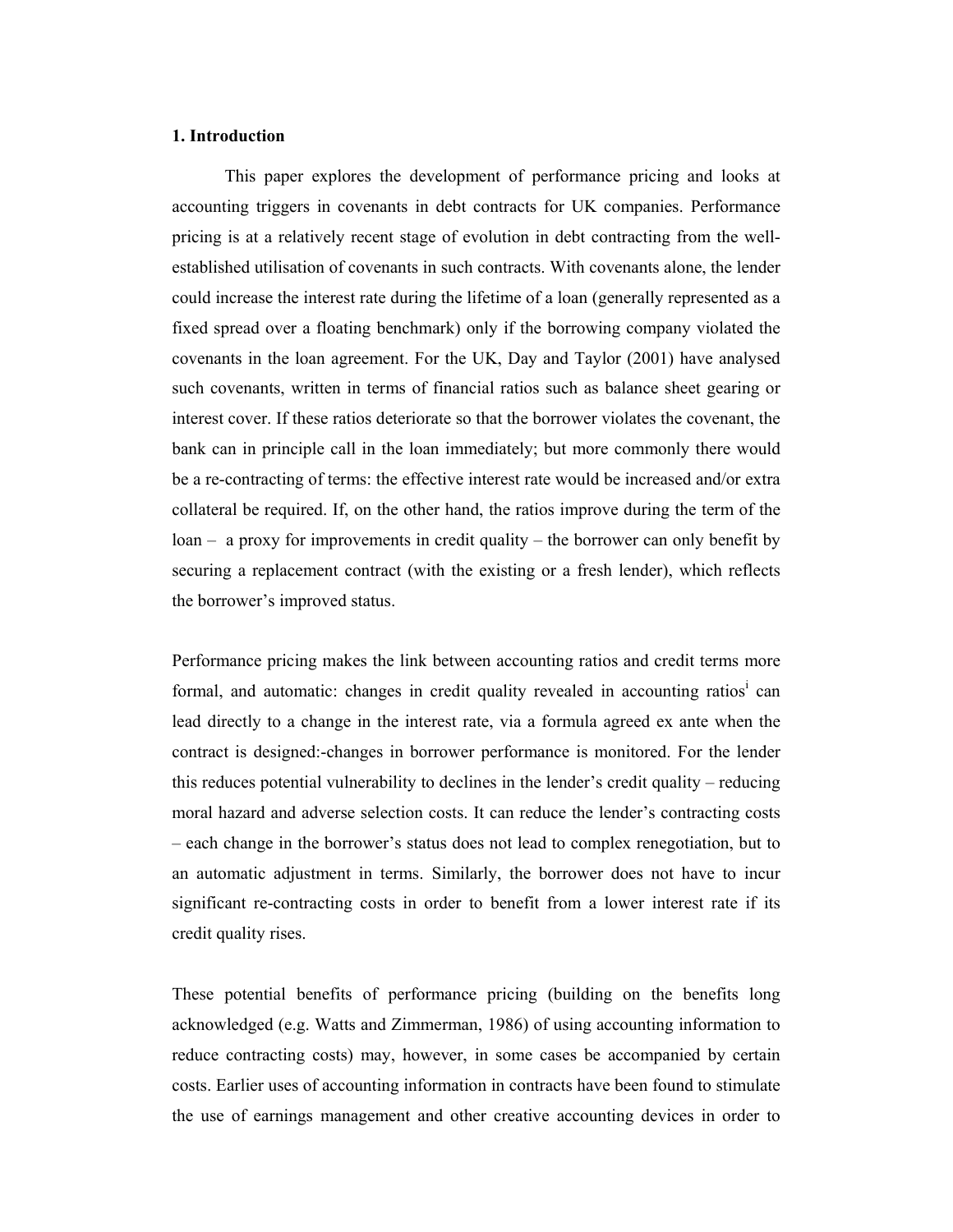#### 1. Introduction

This paper explores the development of performance pricing and looks at accounting triggers in covenants in debt contracts for UK companies. Performance pricing is at a relatively recent stage of evolution in debt contracting from the wellestablished utilisation of covenants in such contracts. With covenants alone, the lender could increase the interest rate during the lifetime of a loan (generally represented as a fixed spread over a floating benchmark) only if the borrowing company violated the covenants in the loan agreement. For the UK, Day and Taylor (2001) have analysed such covenants, written in terms of financial ratios such as balance sheet gearing or interest cover. If these ratios deteriorate so that the borrower violates the covenant, the bank can in principle call in the loan immediately; but more commonly there would be a re-contracting of terms: the effective interest rate would be increased and/or extra collateral be required. If, on the other hand, the ratios improve during the term of the loan – a proxy for improvements in credit quality – the borrower can only benefit by securing a replacement contract (with the existing or a fresh lender), which reflects the borrower's improved status.

Performance pricing makes the link between accounting ratios and credit terms more formal, and automatic: changes in credit quality revealed in accounting ratios<sup>i</sup> can lead directly to a change in the interest rate, via a formula agreed ex ante when the contract is designed:-changes in borrower performance is monitored. For the lender this reduces potential vulnerability to declines in the lender's credit quality – reducing moral hazard and adverse selection costs. It can reduce the lender's contracting costs – each change in the borrower's status does not lead to complex renegotiation, but to an automatic adjustment in terms. Similarly, the borrower does not have to incur significant re-contracting costs in order to benefit from a lower interest rate if its credit quality rises.

These potential benefits of performance pricing (building on the benefits long acknowledged (e.g. Watts and Zimmerman, 1986) of using accounting information to reduce contracting costs) may, however, in some cases be accompanied by certain costs. Earlier uses of accounting information in contracts have been found to stimulate the use of earnings management and other creative accounting devices in order to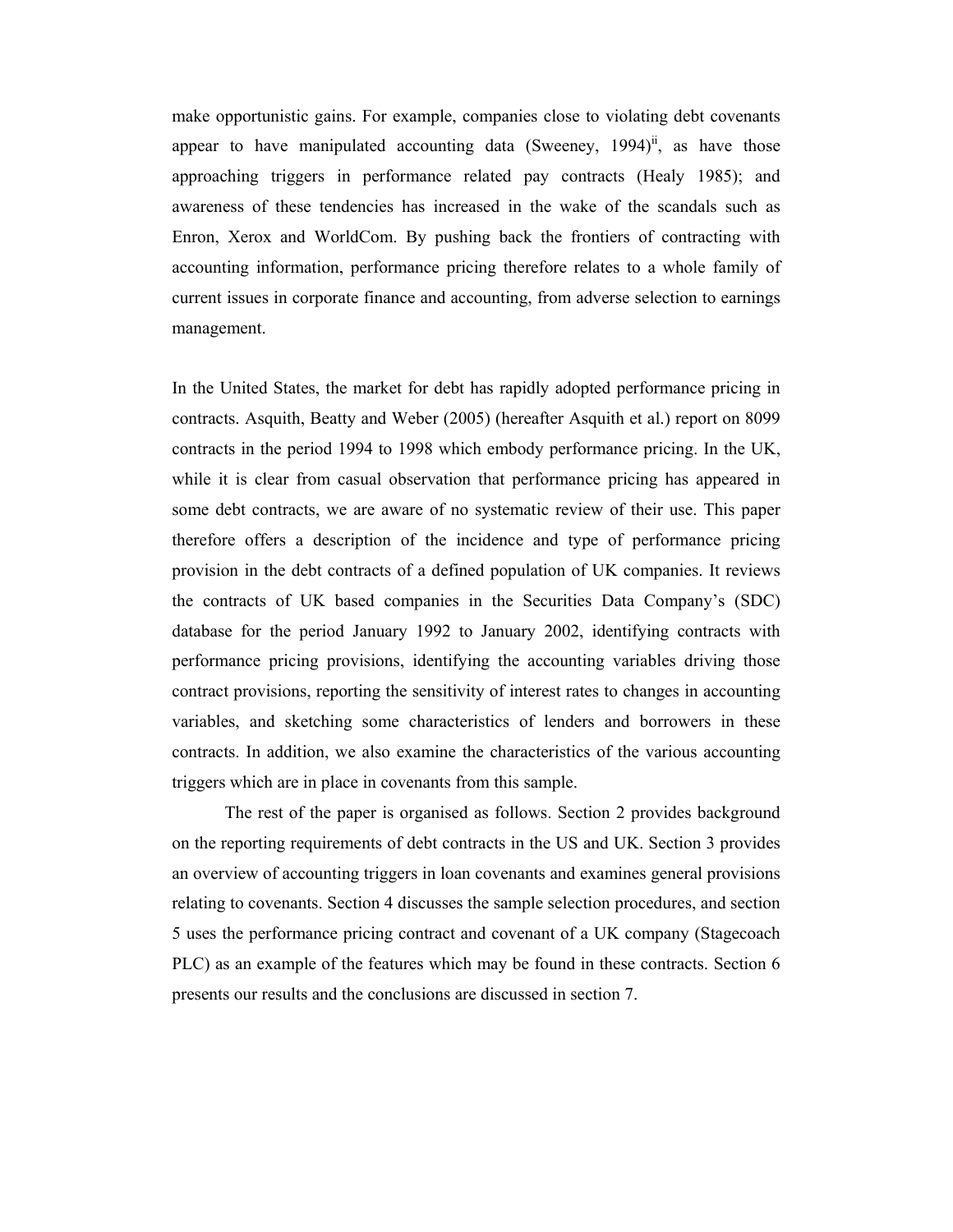make opportunistic gains. For example, companies close to violating debt covenants appear to have manipulated accounting data (Sweeney,  $1994$ )<sup>ii</sup>, as have those approaching triggers in performance related pay contracts (Healy 1985); and awareness of these tendencies has increased in the wake of the scandals such as Enron, Xerox and WorldCom. By pushing back the frontiers of contracting with accounting information, performance pricing therefore relates to a whole family of current issues in corporate finance and accounting, from adverse selection to earnings management.

In the United States, the market for debt has rapidly adopted performance pricing in contracts. Asquith, Beatty and Weber (2005) (hereafter Asquith et al.) report on 8099 contracts in the period 1994 to 1998 which embody performance pricing. In the UK, while it is clear from casual observation that performance pricing has appeared in some debt contracts, we are aware of no systematic review of their use. This paper therefore offers a description of the incidence and type of performance pricing provision in the debt contracts of a defined population of UK companies. It reviews the contracts of UK based companies in the Securities Data Company's (SDC) database for the period January 1992 to January 2002, identifying contracts with performance pricing provisions, identifying the accounting variables driving those contract provisions, reporting the sensitivity of interest rates to changes in accounting variables, and sketching some characteristics of lenders and borrowers in these contracts. In addition, we also examine the characteristics of the various accounting triggers which are in place in covenants from this sample.

 The rest of the paper is organised as follows. Section 2 provides background on the reporting requirements of debt contracts in the US and UK. Section 3 provides an overview of accounting triggers in loan covenants and examines general provisions relating to covenants. Section 4 discusses the sample selection procedures, and section 5 uses the performance pricing contract and covenant of a UK company (Stagecoach PLC) as an example of the features which may be found in these contracts. Section 6 presents our results and the conclusions are discussed in section 7.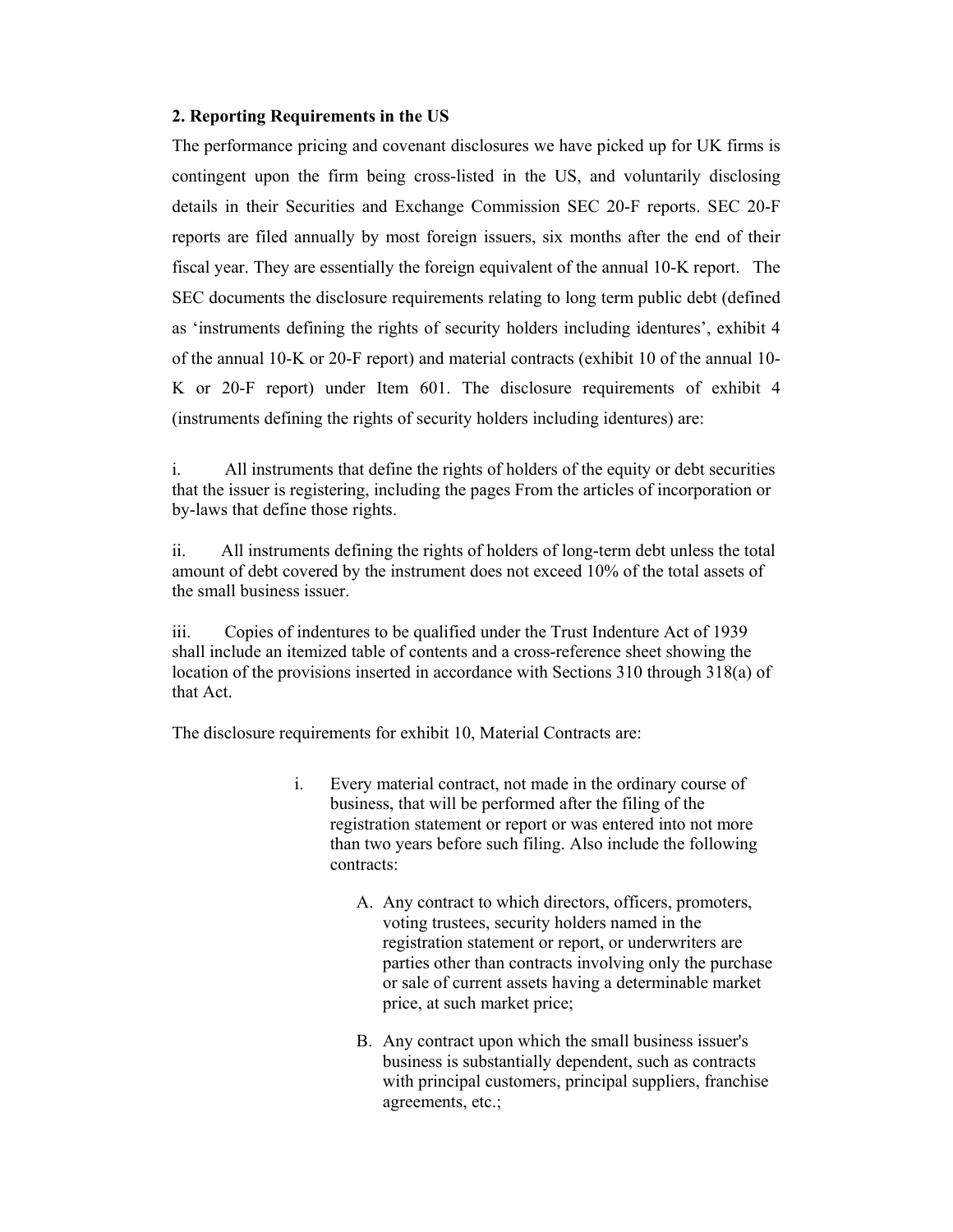#### 2. Reporting Requirements in the US

The performance pricing and covenant disclosures we have picked up for UK firms is contingent upon the firm being cross-listed in the US, and voluntarily disclosing details in their Securities and Exchange Commission SEC 20-F reports. SEC 20-F reports are filed annually by most foreign issuers, six months after the end of their fiscal year. They are essentially the foreign equivalent of the annual 10-K report. The SEC documents the disclosure requirements relating to long term public debt (defined as 'instruments defining the rights of security holders including identures', exhibit 4 of the annual 10-K or 20-F report) and material contracts (exhibit 10 of the annual 10- K or 20-F report) under Item 601. The disclosure requirements of exhibit 4 (instruments defining the rights of security holders including identures) are:

i. All instruments that define the rights of holders of the equity or debt securities that the issuer is registering, including the pages From the articles of incorporation or by-laws that define those rights.

ii. All instruments defining the rights of holders of long-term debt unless the total amount of debt covered by the instrument does not exceed 10% of the total assets of the small business issuer.

iii. Copies of indentures to be qualified under the Trust Indenture Act of 1939 shall include an itemized table of contents and a cross-reference sheet showing the location of the provisions inserted in accordance with Sections 310 through 318(a) of that Act.

The disclosure requirements for exhibit 10, Material Contracts are:

- i. Every material contract, not made in the ordinary course of business, that will be performed after the filing of the registration statement or report or was entered into not more than two years before such filing. Also include the following contracts:
	- A. Any contract to which directors, officers, promoters, voting trustees, security holders named in the registration statement or report, or underwriters are parties other than contracts involving only the purchase or sale of current assets having a determinable market price, at such market price;
	- B. Any contract upon which the small business issuer's business is substantially dependent, such as contracts with principal customers, principal suppliers, franchise agreements, etc.;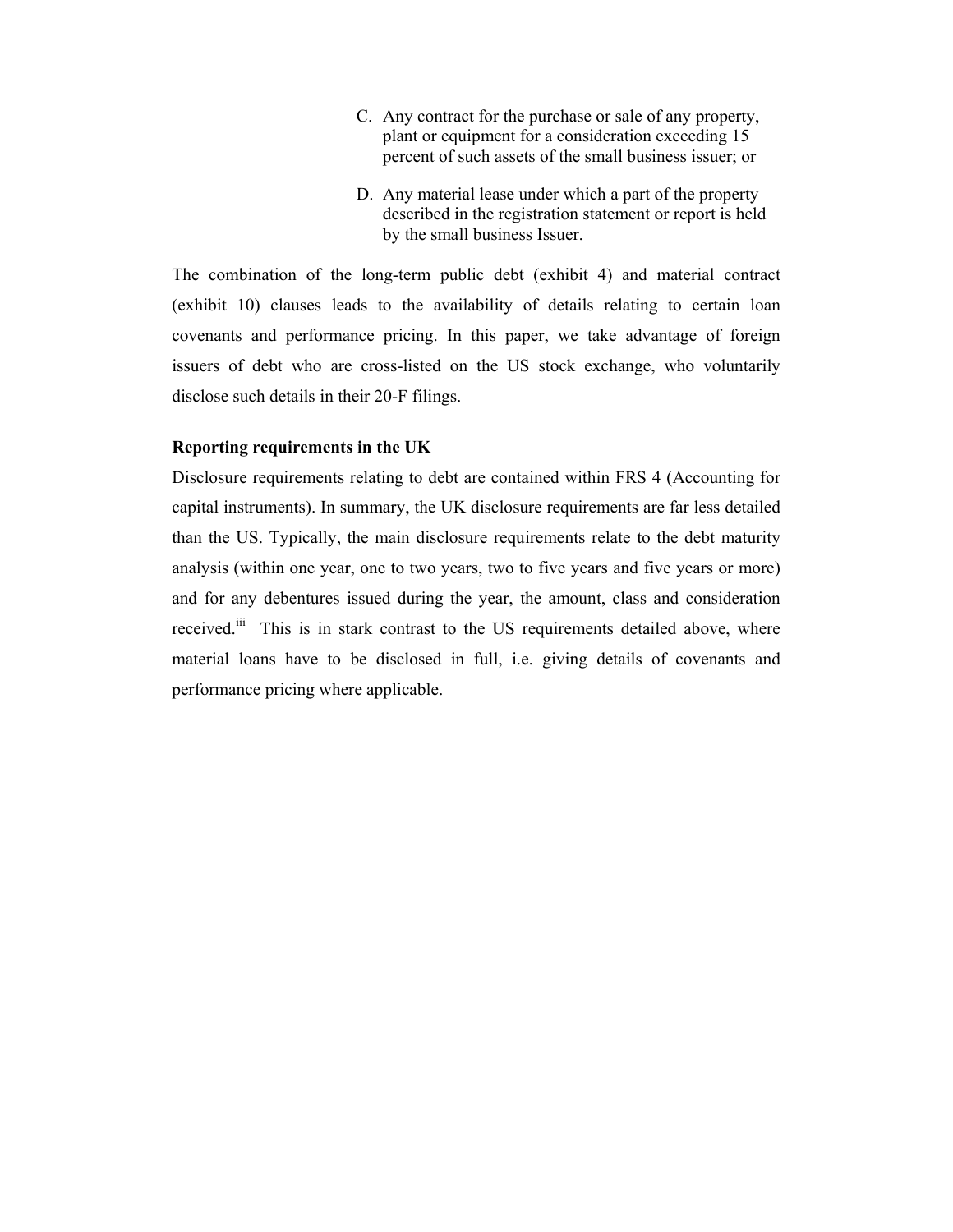- C. Any contract for the purchase or sale of any property, plant or equipment for a consideration exceeding 15 percent of such assets of the small business issuer; or
- D. Any material lease under which a part of the property described in the registration statement or report is held by the small business Issuer.

The combination of the long-term public debt (exhibit 4) and material contract (exhibit 10) clauses leads to the availability of details relating to certain loan covenants and performance pricing. In this paper, we take advantage of foreign issuers of debt who are cross-listed on the US stock exchange, who voluntarily disclose such details in their 20-F filings.

#### Reporting requirements in the UK

Disclosure requirements relating to debt are contained within FRS 4 (Accounting for capital instruments). In summary, the UK disclosure requirements are far less detailed than the US. Typically, the main disclosure requirements relate to the debt maturity analysis (within one year, one to two years, two to five years and five years or more) and for any debentures issued during the year, the amount, class and consideration received.<sup>iii</sup> This is in stark contrast to the US requirements detailed above, where material loans have to be disclosed in full, i.e. giving details of covenants and performance pricing where applicable.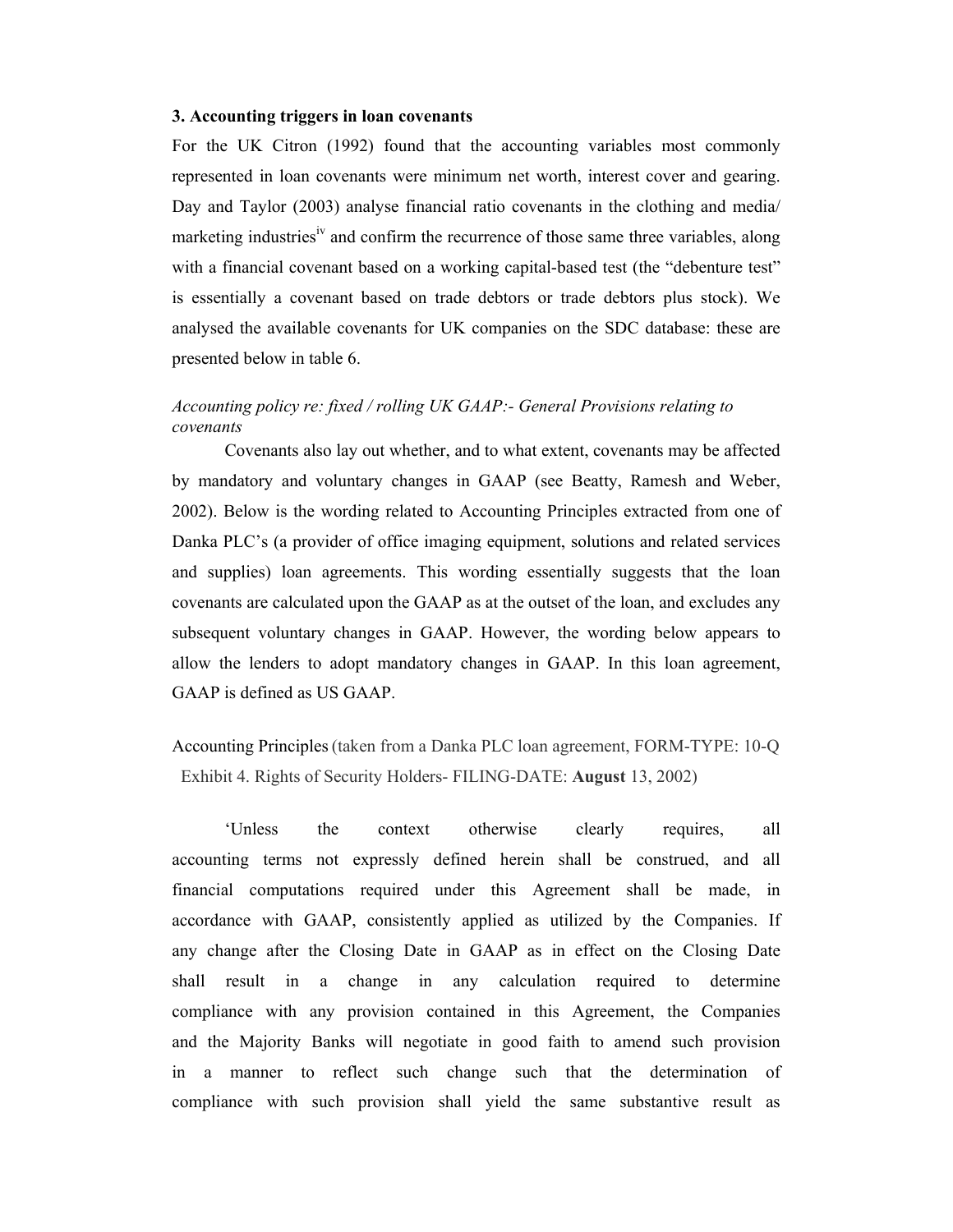#### 3. Accounting triggers in loan covenants

For the UK Citron (1992) found that the accounting variables most commonly represented in loan covenants were minimum net worth, interest cover and gearing. Day and Taylor (2003) analyse financial ratio covenants in the clothing and media/ marketing industries<sup>iv</sup> and confirm the recurrence of those same three variables, along with a financial covenant based on a working capital-based test (the "debenture test" is essentially a covenant based on trade debtors or trade debtors plus stock). We analysed the available covenants for UK companies on the SDC database: these are presented below in table 6.

#### Accounting policy re: fixed / rolling UK GAAP:- General Provisions relating to covenants

Covenants also lay out whether, and to what extent, covenants may be affected by mandatory and voluntary changes in GAAP (see Beatty, Ramesh and Weber, 2002). Below is the wording related to Accounting Principles extracted from one of Danka PLC's (a provider of office imaging equipment, solutions and related services and supplies) loan agreements. This wording essentially suggests that the loan covenants are calculated upon the GAAP as at the outset of the loan, and excludes any subsequent voluntary changes in GAAP. However, the wording below appears to allow the lenders to adopt mandatory changes in GAAP. In this loan agreement, GAAP is defined as US GAAP.

Accounting Principles(taken from a Danka PLC loan agreement, FORM-TYPE: 10-Q Exhibit 4. Rights of Security Holders- FILING-DATE: August 13, 2002)

'Unless the context otherwise clearly requires, all accounting terms not expressly defined herein shall be construed, and all financial computations required under this Agreement shall be made, in accordance with GAAP, consistently applied as utilized by the Companies. If any change after the Closing Date in GAAP as in effect on the Closing Date shall result in a change in any calculation required to determine compliance with any provision contained in this Agreement, the Companies and the Majority Banks will negotiate in good faith to amend such provision in a manner to reflect such change such that the determination of compliance with such provision shall yield the same substantive result as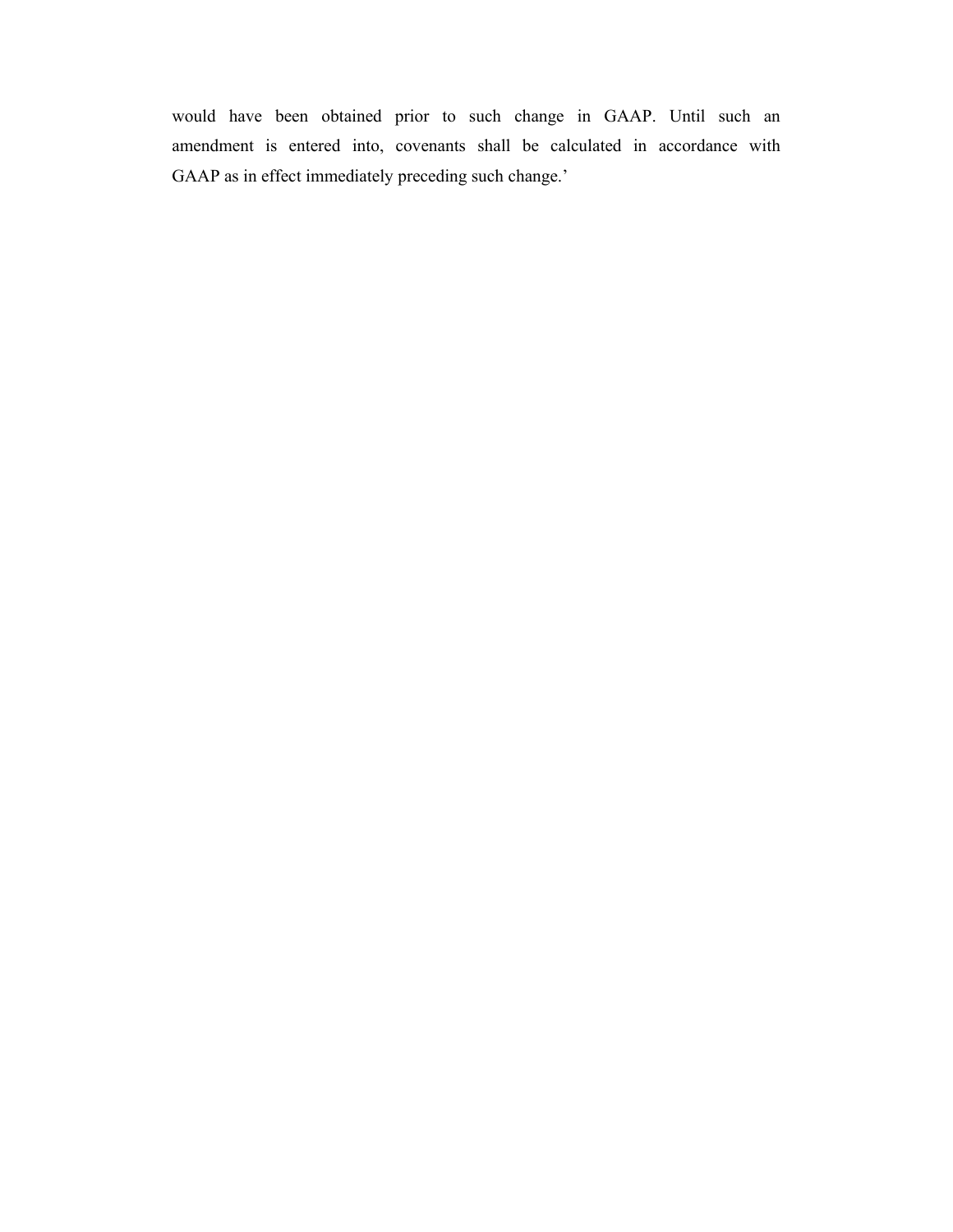would have been obtained prior to such change in GAAP. Until such an amendment is entered into, covenants shall be calculated in accordance with GAAP as in effect immediately preceding such change.'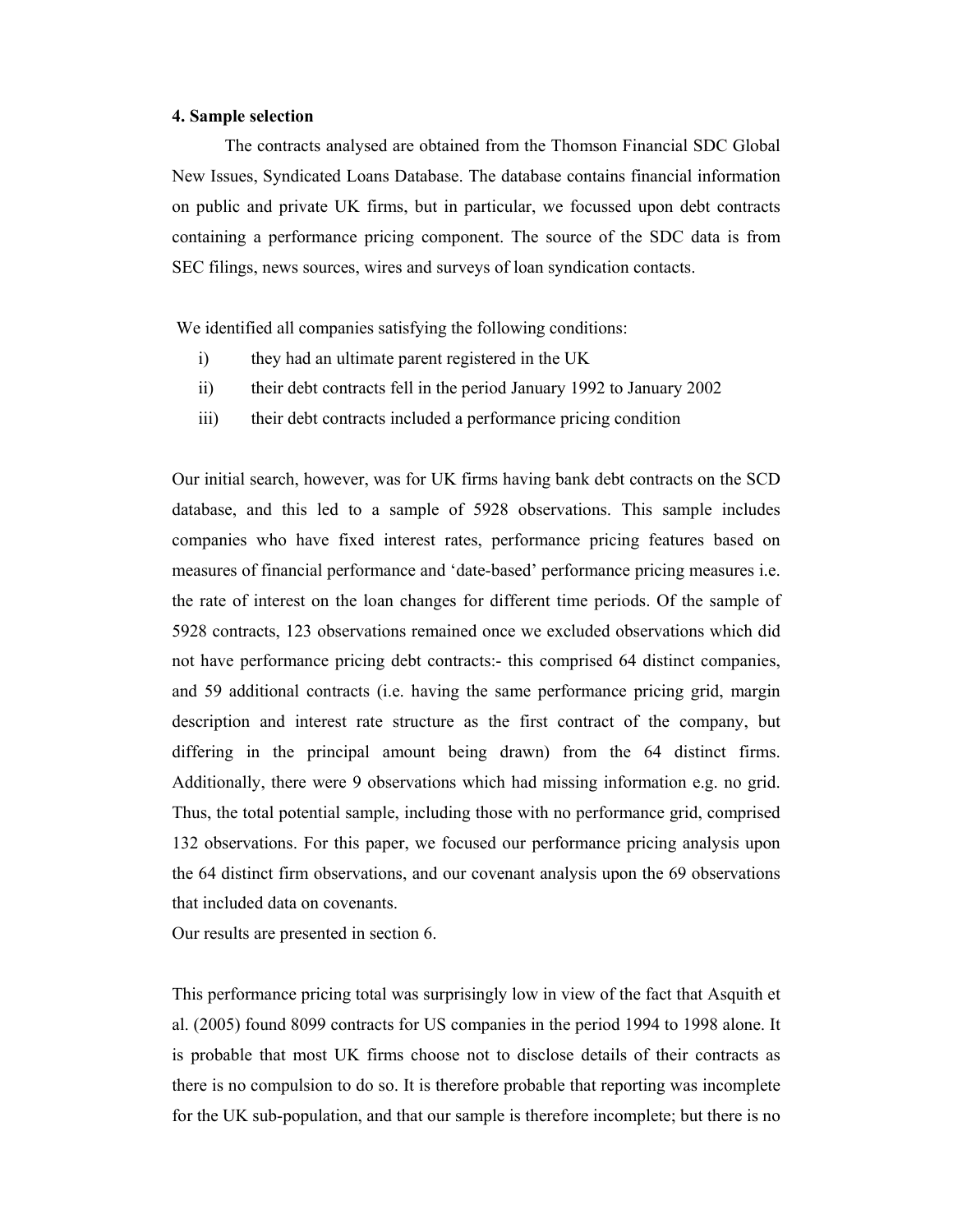#### 4. Sample selection

The contracts analysed are obtained from the Thomson Financial SDC Global New Issues, Syndicated Loans Database. The database contains financial information on public and private UK firms, but in particular, we focussed upon debt contracts containing a performance pricing component. The source of the SDC data is from SEC filings, news sources, wires and surveys of loan syndication contacts.

We identified all companies satisfying the following conditions:

- i) they had an ultimate parent registered in the UK
- ii) their debt contracts fell in the period January 1992 to January 2002
- iii) their debt contracts included a performance pricing condition

Our initial search, however, was for UK firms having bank debt contracts on the SCD database, and this led to a sample of 5928 observations. This sample includes companies who have fixed interest rates, performance pricing features based on measures of financial performance and 'date-based' performance pricing measures i.e. the rate of interest on the loan changes for different time periods. Of the sample of 5928 contracts, 123 observations remained once we excluded observations which did not have performance pricing debt contracts:- this comprised 64 distinct companies, and 59 additional contracts (i.e. having the same performance pricing grid, margin description and interest rate structure as the first contract of the company, but differing in the principal amount being drawn) from the 64 distinct firms. Additionally, there were 9 observations which had missing information e.g. no grid. Thus, the total potential sample, including those with no performance grid, comprised 132 observations. For this paper, we focused our performance pricing analysis upon the 64 distinct firm observations, and our covenant analysis upon the 69 observations that included data on covenants.

Our results are presented in section 6.

This performance pricing total was surprisingly low in view of the fact that Asquith et al. (2005) found 8099 contracts for US companies in the period 1994 to 1998 alone. It is probable that most UK firms choose not to disclose details of their contracts as there is no compulsion to do so. It is therefore probable that reporting was incomplete for the UK sub-population, and that our sample is therefore incomplete; but there is no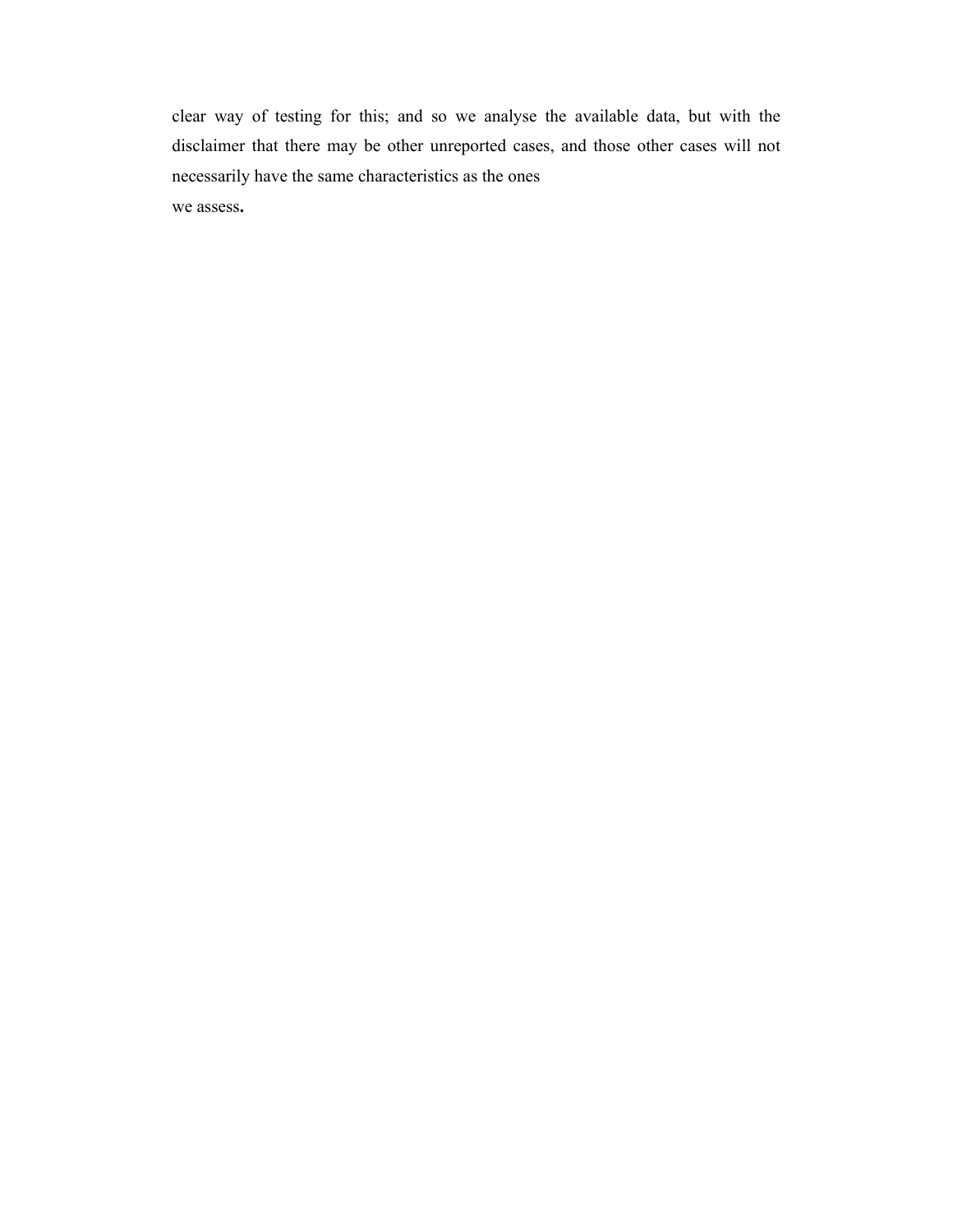clear way of testing for this; and so we analyse the available data, but with the disclaimer that there may be other unreported cases, and those other cases will not necessarily have the same characteristics as the ones

we assess.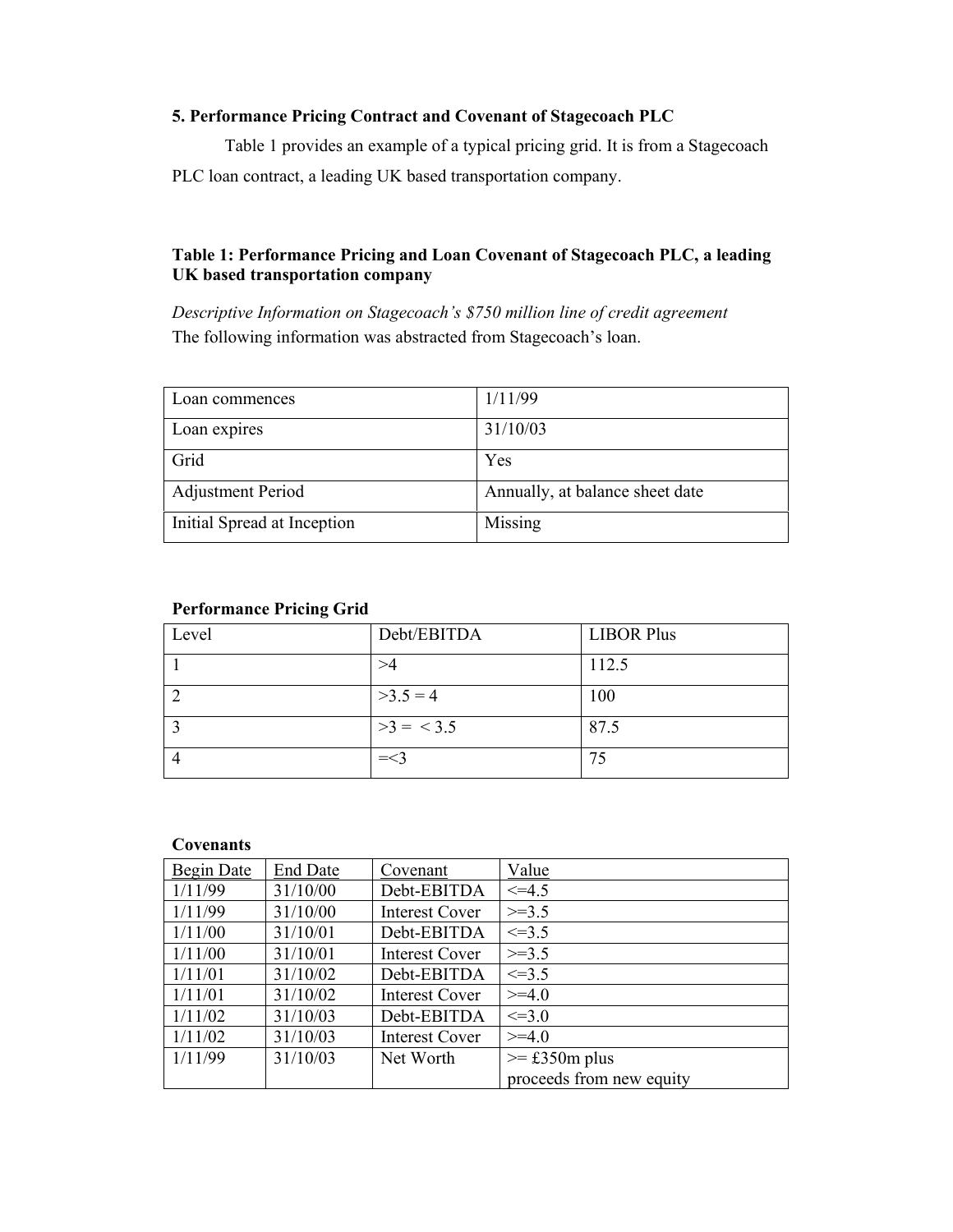#### 5. Performance Pricing Contract and Covenant of Stagecoach PLC

Table 1 provides an example of a typical pricing grid. It is from a Stagecoach PLC loan contract, a leading UK based transportation company.

#### Table 1: Performance Pricing and Loan Covenant of Stagecoach PLC, a leading UK based transportation company

Descriptive Information on Stagecoach's \$750 million line of credit agreement The following information was abstracted from Stagecoach's loan.

| Loan commences              | 1/11/99                         |
|-----------------------------|---------------------------------|
| Loan expires                | 31/10/03                        |
| Grid                        | Yes                             |
| <b>Adjustment Period</b>    | Annually, at balance sheet date |
| Initial Spread at Inception | Missing                         |

#### Performance Pricing Grid

| Level | Debt/EBITDA | <b>LIBOR Plus</b> |
|-------|-------------|-------------------|
|       |             | 112.5             |
|       | $>3.5 = 4$  | 100               |
|       | $>3 = 3.5$  | 87.5              |
|       | $=<$ 3      | 75                |

#### **Covenants**

| Begin Date | <b>End Date</b> | Covenant              | Value                    |
|------------|-----------------|-----------------------|--------------------------|
| 1/11/99    | 31/10/00        | Debt-EBITDA           | $\leq 4.5$               |
| 1/11/99    | 31/10/00        | <b>Interest Cover</b> | $>=3.5$                  |
| 1/11/00    | 31/10/01        | Debt-EBITDA           | $\leq$ = 3.5             |
| 1/11/00    | 31/10/01        | <b>Interest Cover</b> | $>=3.5$                  |
| 1/11/01    | 31/10/02        | Debt-EBITDA           | $\leq$ = 3.5             |
| 1/11/01    | 31/10/02        | <b>Interest Cover</b> | $>=$ 4.0                 |
| 1/11/02    | 31/10/03        | Debt-EBITDA           | $\leq 3.0$               |
| 1/11/02    | 31/10/03        | <b>Interest Cover</b> | $>=$ 4.0                 |
| 1/11/99    | 31/10/03        | Net Worth             | $\ge$ £350m plus         |
|            |                 |                       | proceeds from new equity |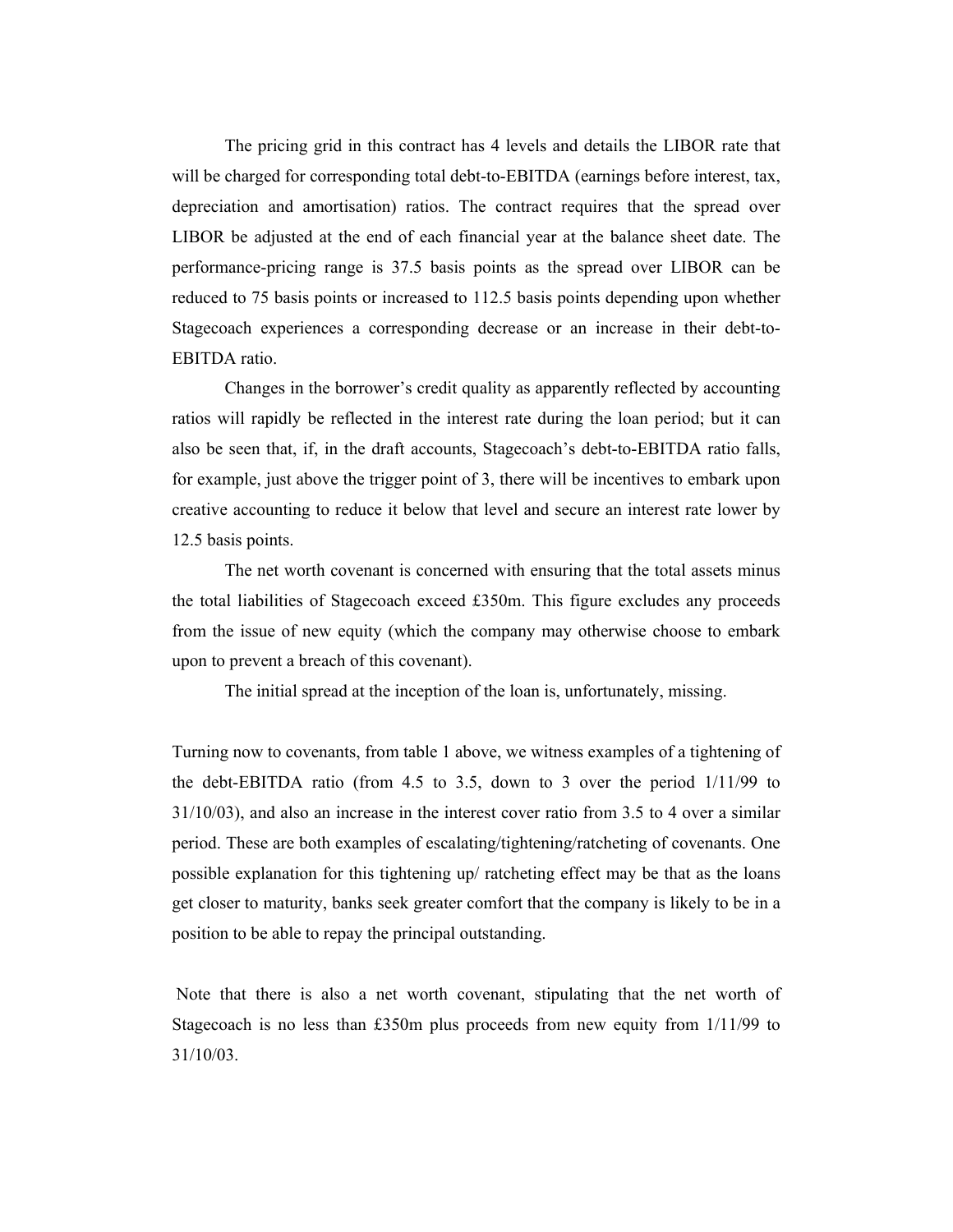The pricing grid in this contract has 4 levels and details the LIBOR rate that will be charged for corresponding total debt-to-EBITDA (earnings before interest, tax, depreciation and amortisation) ratios. The contract requires that the spread over LIBOR be adjusted at the end of each financial year at the balance sheet date. The performance-pricing range is 37.5 basis points as the spread over LIBOR can be reduced to 75 basis points or increased to 112.5 basis points depending upon whether Stagecoach experiences a corresponding decrease or an increase in their debt-to-EBITDA ratio.

Changes in the borrower's credit quality as apparently reflected by accounting ratios will rapidly be reflected in the interest rate during the loan period; but it can also be seen that, if, in the draft accounts, Stagecoach's debt-to-EBITDA ratio falls, for example, just above the trigger point of 3, there will be incentives to embark upon creative accounting to reduce it below that level and secure an interest rate lower by 12.5 basis points.

The net worth covenant is concerned with ensuring that the total assets minus the total liabilities of Stagecoach exceed £350m. This figure excludes any proceeds from the issue of new equity (which the company may otherwise choose to embark upon to prevent a breach of this covenant).

The initial spread at the inception of the loan is, unfortunately, missing.

Turning now to covenants, from table 1 above, we witness examples of a tightening of the debt-EBITDA ratio (from 4.5 to 3.5, down to 3 over the period 1/11/99 to 31/10/03), and also an increase in the interest cover ratio from 3.5 to 4 over a similar period. These are both examples of escalating/tightening/ratcheting of covenants. One possible explanation for this tightening up/ ratcheting effect may be that as the loans get closer to maturity, banks seek greater comfort that the company is likely to be in a position to be able to repay the principal outstanding.

 Note that there is also a net worth covenant, stipulating that the net worth of Stagecoach is no less than £350m plus proceeds from new equity from 1/11/99 to 31/10/03.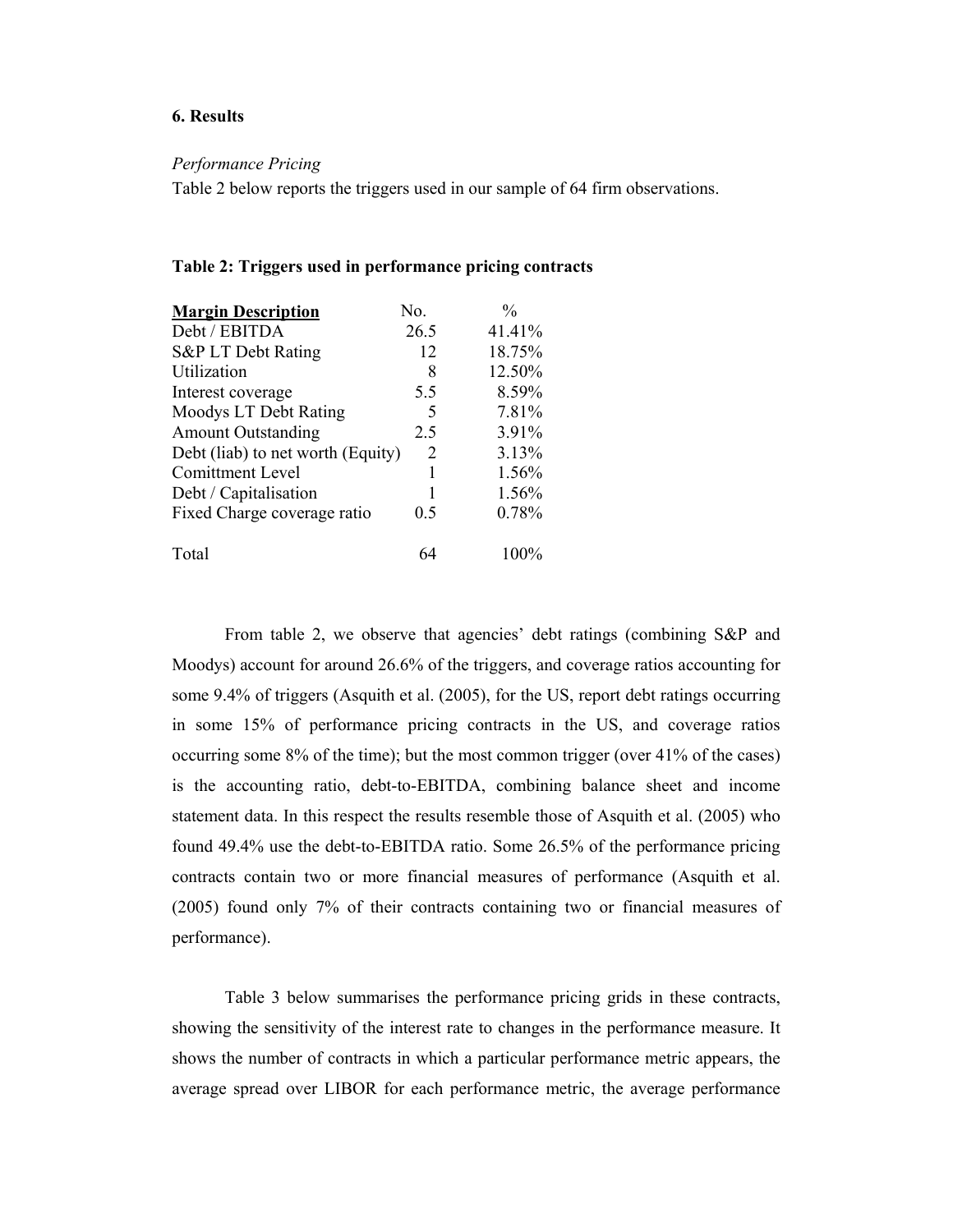#### 6. Results

#### Performance Pricing

Table 2 below reports the triggers used in our sample of 64 firm observations.

|  | Table 2: Triggers used in performance pricing contracts |
|--|---------------------------------------------------------|
|--|---------------------------------------------------------|

| <b>Margin Description</b>         | No.  | $\frac{0}{0}$ |
|-----------------------------------|------|---------------|
| Debt / EBITDA                     | 26.5 | 41.41%        |
| S&P LT Debt Rating                | 12   | 18.75%        |
| Utilization                       | 8    | 12.50%        |
| Interest coverage                 | 5.5  | 8.59%         |
| Moodys LT Debt Rating             | 5    | 7.81%         |
| <b>Amount Outstanding</b>         | 2.5  | 3.91%         |
| Debt (liab) to net worth (Equity) | 2    | 3.13%         |
| <b>Comittment Level</b>           |      | 1.56%         |
| Debt / Capitalisation             |      | 1.56%         |
| Fixed Charge coverage ratio       | 0.5  | 0.78%         |
| Total                             | 64   | $100\%$       |

From table 2, we observe that agencies' debt ratings (combining S&P and Moodys) account for around 26.6% of the triggers, and coverage ratios accounting for some 9.4% of triggers (Asquith et al. (2005), for the US, report debt ratings occurring in some 15% of performance pricing contracts in the US, and coverage ratios occurring some 8% of the time); but the most common trigger (over 41% of the cases) is the accounting ratio, debt-to-EBITDA, combining balance sheet and income statement data. In this respect the results resemble those of Asquith et al. (2005) who found 49.4% use the debt-to-EBITDA ratio. Some 26.5% of the performance pricing contracts contain two or more financial measures of performance (Asquith et al. (2005) found only 7% of their contracts containing two or financial measures of performance).

Table 3 below summarises the performance pricing grids in these contracts, showing the sensitivity of the interest rate to changes in the performance measure. It shows the number of contracts in which a particular performance metric appears, the average spread over LIBOR for each performance metric, the average performance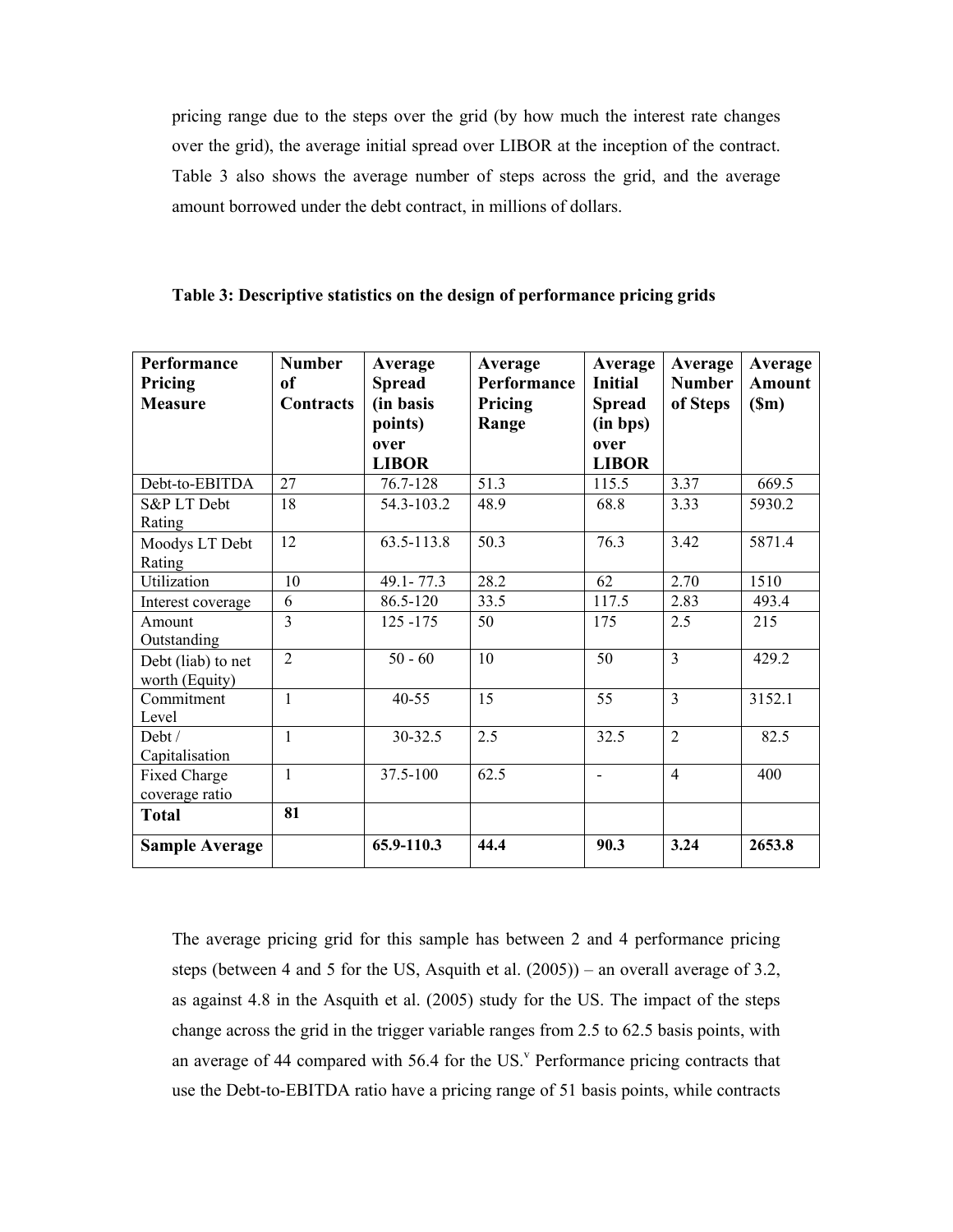pricing range due to the steps over the grid (by how much the interest rate changes over the grid), the average initial spread over LIBOR at the inception of the contract. Table 3 also shows the average number of steps across the grid, and the average amount borrowed under the debt contract, in millions of dollars.

| Table 3: Descriptive statistics on the design of performance pricing grids |  |  |
|----------------------------------------------------------------------------|--|--|
|----------------------------------------------------------------------------|--|--|

| Performance<br>Pricing<br><b>Measure</b> | <b>Number</b><br>of<br><b>Contracts</b> | Average<br><b>Spread</b><br>(in basis) | Average<br>Performance<br>Pricing | Average<br><b>Initial</b><br><b>Spread</b> | Average<br><b>Number</b><br>of Steps | Average<br><b>Amount</b><br>(Sm) |
|------------------------------------------|-----------------------------------------|----------------------------------------|-----------------------------------|--------------------------------------------|--------------------------------------|----------------------------------|
|                                          |                                         | points)                                | Range                             | (in bps)                                   |                                      |                                  |
|                                          |                                         | over                                   |                                   | over                                       |                                      |                                  |
|                                          |                                         | <b>LIBOR</b>                           |                                   | <b>LIBOR</b>                               |                                      |                                  |
| Debt-to-EBITDA                           | 27                                      | 76.7-128                               | 51.3                              | 115.5                                      | 3.37                                 | 669.5                            |
| S&P LT Debt<br>Rating                    | 18                                      | 54.3-103.2                             | 48.9                              | 68.8                                       | 3.33                                 | 5930.2                           |
| Moodys LT Debt<br>Rating                 | 12                                      | 63.5-113.8                             | 50.3                              | 76.3                                       | 3.42                                 | 5871.4                           |
| Utilization                              | 10                                      | $49.1 - 77.3$                          | 28.2                              | 62                                         | 2.70                                 | 1510                             |
| Interest coverage                        | 6                                       | 86.5-120                               | 33.5                              | 117.5                                      | 2.83                                 | 493.4                            |
| Amount<br>Outstanding                    | $\overline{3}$                          | $125 - 175$                            | 50                                | 175                                        | 2.5                                  | 215                              |
| Debt (liab) to net<br>worth (Equity)     | $\overline{2}$                          | $50 - 60$                              | 10                                | 50                                         | 3                                    | 429.2                            |
| Commitment<br>Level                      | 1                                       | $40 - 55$                              | 15                                | 55                                         | 3                                    | 3152.1                           |
| Debt /<br>Capitalisation                 | 1                                       | 30-32.5                                | 2.5                               | 32.5                                       | $\overline{2}$                       | 82.5                             |
| Fixed Charge                             | 1                                       | 37.5-100                               | 62.5                              | $\overline{a}$                             | $\overline{4}$                       | 400                              |
| coverage ratio                           |                                         |                                        |                                   |                                            |                                      |                                  |
| <b>Total</b>                             | 81                                      |                                        |                                   |                                            |                                      |                                  |
| <b>Sample Average</b>                    |                                         | 65.9-110.3                             | 44.4                              | 90.3                                       | 3.24                                 | 2653.8                           |

The average pricing grid for this sample has between 2 and 4 performance pricing steps (between 4 and 5 for the US, Asquith et al. (2005)) – an overall average of 3.2, as against 4.8 in the Asquith et al. (2005) study for the US. The impact of the steps change across the grid in the trigger variable ranges from 2.5 to 62.5 basis points, with an average of 44 compared with  $56.4$  for the US.<sup>v</sup> Performance pricing contracts that use the Debt-to-EBITDA ratio have a pricing range of 51 basis points, while contracts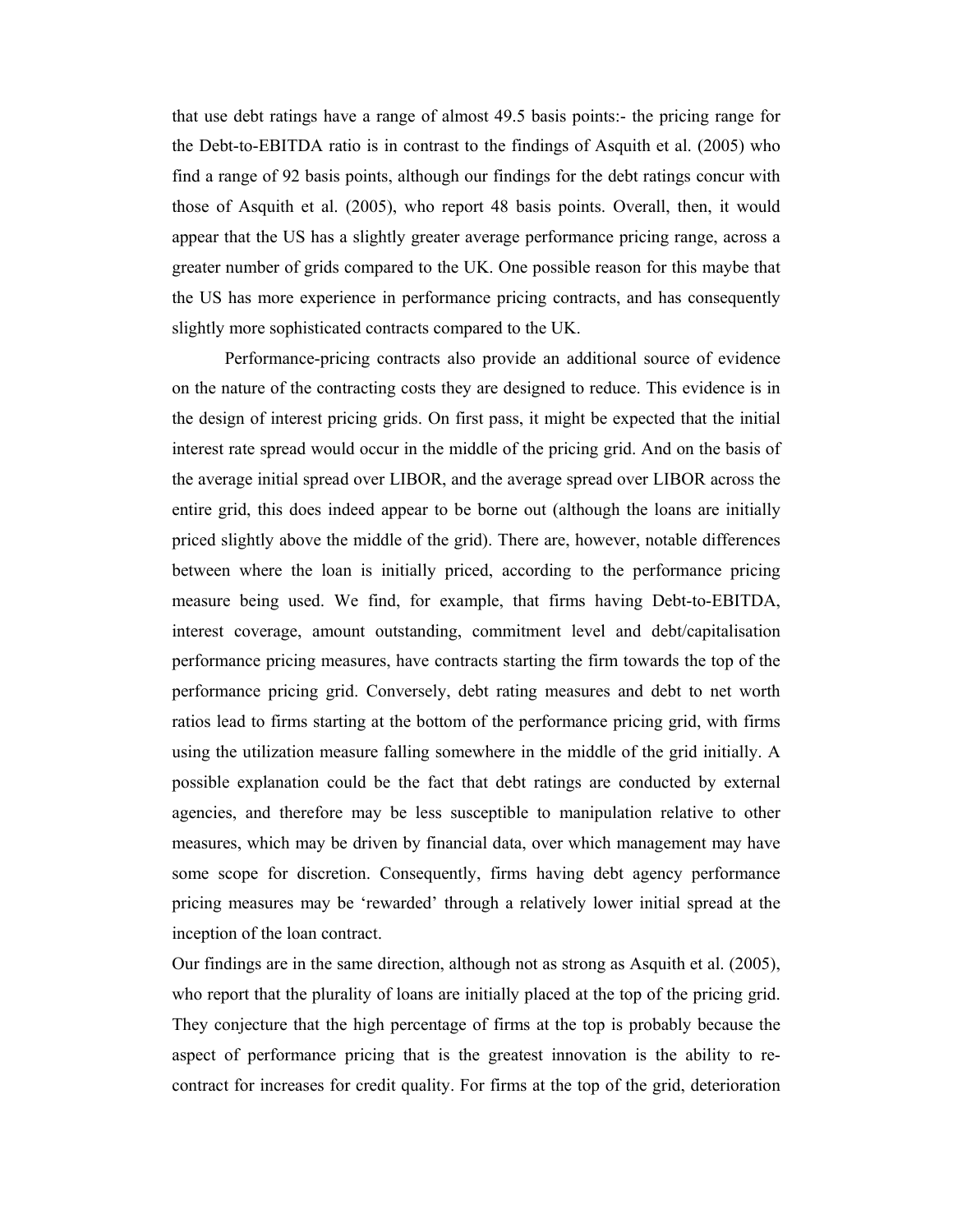that use debt ratings have a range of almost 49.5 basis points:- the pricing range for the Debt-to-EBITDA ratio is in contrast to the findings of Asquith et al. (2005) who find a range of 92 basis points, although our findings for the debt ratings concur with those of Asquith et al. (2005), who report 48 basis points. Overall, then, it would appear that the US has a slightly greater average performance pricing range, across a greater number of grids compared to the UK. One possible reason for this maybe that the US has more experience in performance pricing contracts, and has consequently slightly more sophisticated contracts compared to the UK.

 Performance-pricing contracts also provide an additional source of evidence on the nature of the contracting costs they are designed to reduce. This evidence is in the design of interest pricing grids. On first pass, it might be expected that the initial interest rate spread would occur in the middle of the pricing grid. And on the basis of the average initial spread over LIBOR, and the average spread over LIBOR across the entire grid, this does indeed appear to be borne out (although the loans are initially priced slightly above the middle of the grid). There are, however, notable differences between where the loan is initially priced, according to the performance pricing measure being used. We find, for example, that firms having Debt-to-EBITDA, interest coverage, amount outstanding, commitment level and debt/capitalisation performance pricing measures, have contracts starting the firm towards the top of the performance pricing grid. Conversely, debt rating measures and debt to net worth ratios lead to firms starting at the bottom of the performance pricing grid, with firms using the utilization measure falling somewhere in the middle of the grid initially. A possible explanation could be the fact that debt ratings are conducted by external agencies, and therefore may be less susceptible to manipulation relative to other measures, which may be driven by financial data, over which management may have some scope for discretion. Consequently, firms having debt agency performance pricing measures may be 'rewarded' through a relatively lower initial spread at the inception of the loan contract.

Our findings are in the same direction, although not as strong as Asquith et al. (2005), who report that the plurality of loans are initially placed at the top of the pricing grid. They conjecture that the high percentage of firms at the top is probably because the aspect of performance pricing that is the greatest innovation is the ability to recontract for increases for credit quality. For firms at the top of the grid, deterioration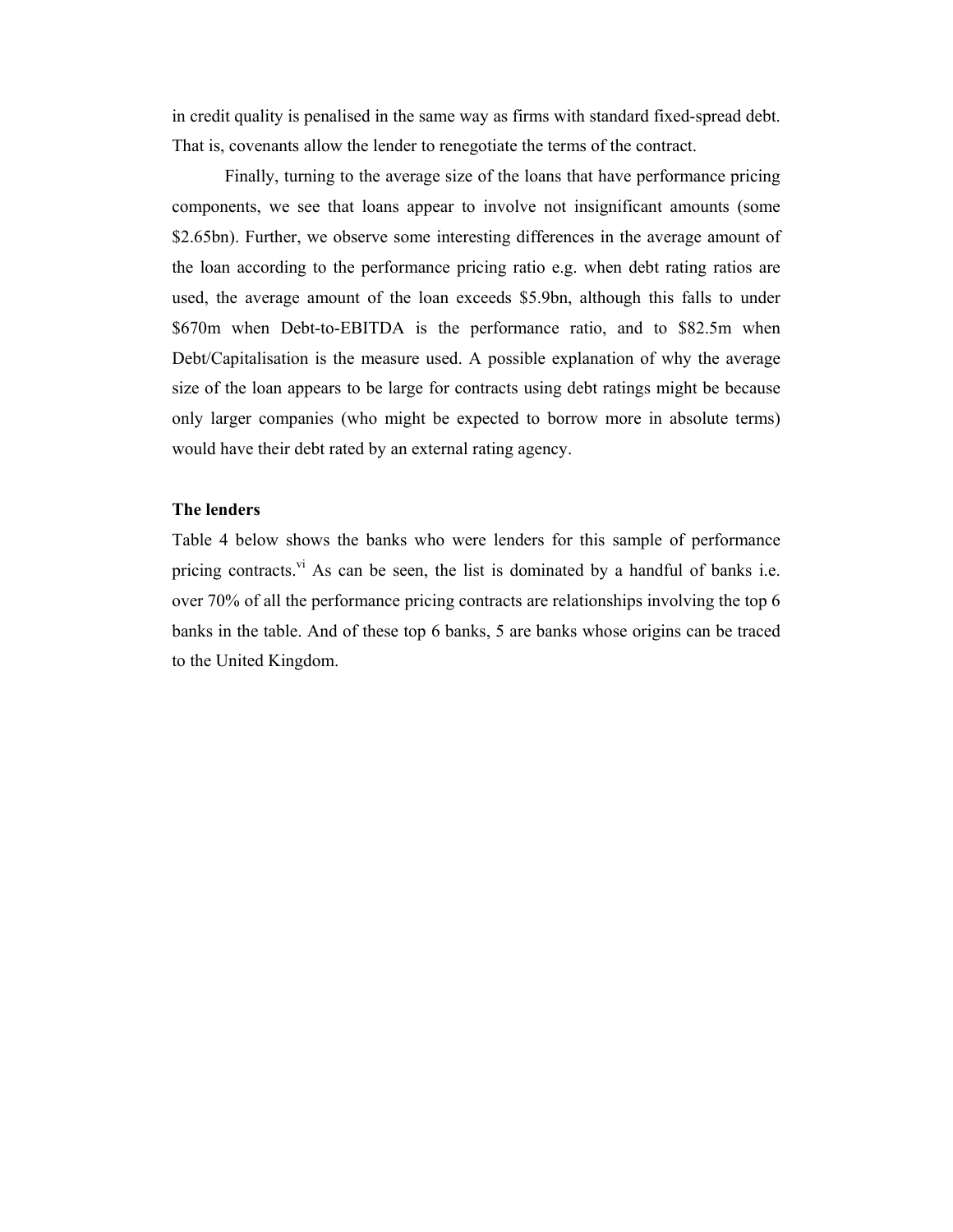in credit quality is penalised in the same way as firms with standard fixed-spread debt. That is, covenants allow the lender to renegotiate the terms of the contract.

 Finally, turning to the average size of the loans that have performance pricing components, we see that loans appear to involve not insignificant amounts (some \$2.65bn). Further, we observe some interesting differences in the average amount of the loan according to the performance pricing ratio e.g. when debt rating ratios are used, the average amount of the loan exceeds \$5.9bn, although this falls to under \$670m when Debt-to-EBITDA is the performance ratio, and to \$82.5m when Debt/Capitalisation is the measure used. A possible explanation of why the average size of the loan appears to be large for contracts using debt ratings might be because only larger companies (who might be expected to borrow more in absolute terms) would have their debt rated by an external rating agency.

#### The lenders

Table 4 below shows the banks who were lenders for this sample of performance pricing contracts.<sup>vi</sup> As can be seen, the list is dominated by a handful of banks i.e. over 70% of all the performance pricing contracts are relationships involving the top 6 banks in the table. And of these top 6 banks, 5 are banks whose origins can be traced to the United Kingdom.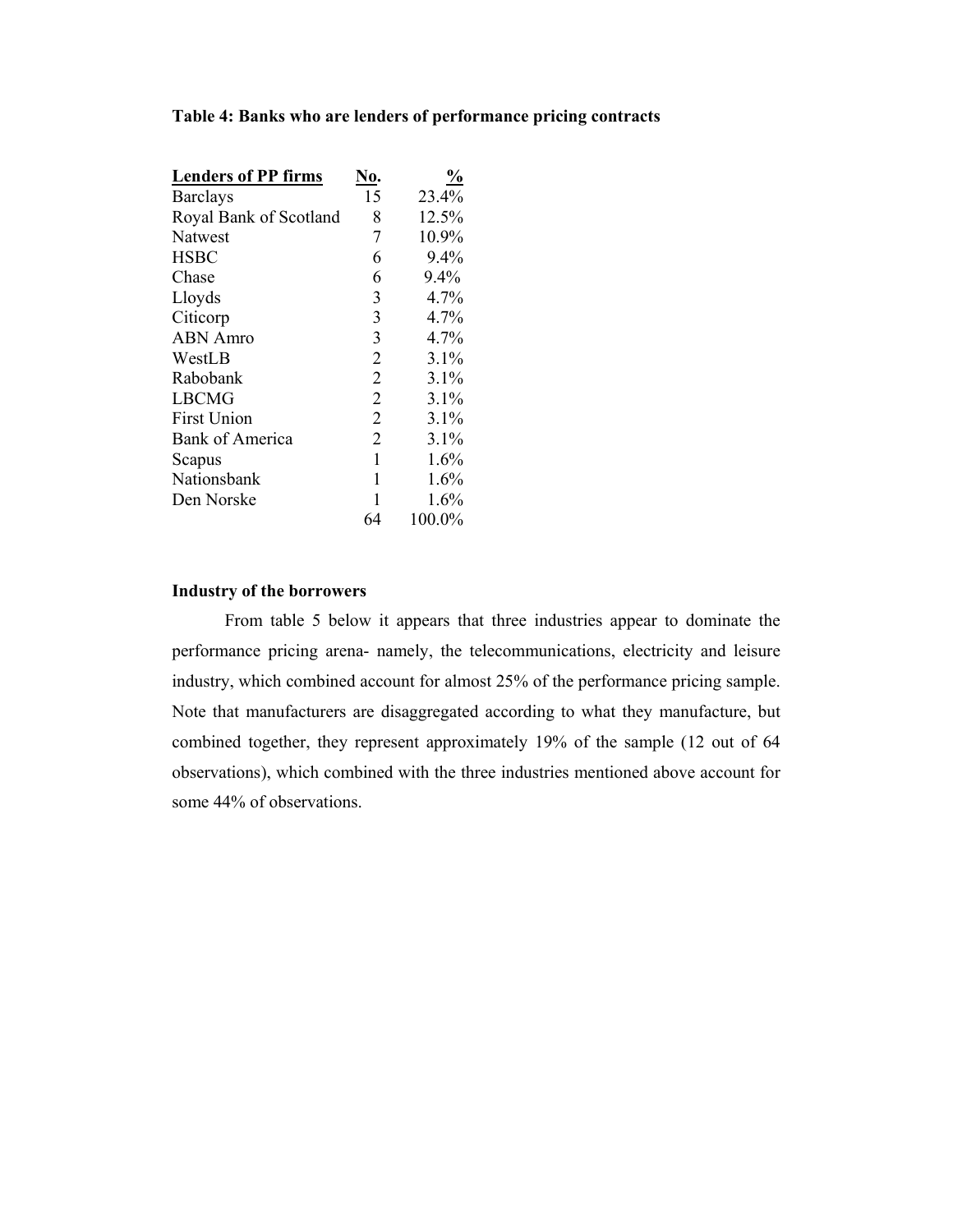| <b>Lenders of PP firms</b> | ŃО.            | $\frac{0}{0}$ |
|----------------------------|----------------|---------------|
| <b>Barclays</b>            | 15             | 23.4%         |
| Royal Bank of Scotland     | 8              | 12.5%         |
| <b>Natwest</b>             | 7              | 10.9%         |
| <b>HSBC</b>                | 6              | 9.4%          |
| Chase                      | 6              | 9.4%          |
| Lloyds                     | 3              | 4.7%          |
| Citicorp                   | 3              | 4.7%          |
| <b>ABN</b> Amro            | 3              | 4.7%          |
| WestLB                     | $\overline{2}$ | $3.1\%$       |
| Rabobank                   | $\overline{2}$ | 3.1%          |
| LBCMG                      | $\overline{2}$ | 3.1%          |
| <b>First Union</b>         | $\overline{2}$ | 3.1%          |
| <b>Bank of America</b>     | $\overline{2}$ | 3.1%          |
| Scapus                     | 1              | 1.6%          |
| Nationsbank                | 1              | 1.6%          |
| Den Norske                 | 1              | 1.6%          |
|                            | 64             | 100.0%        |

#### Table 4: Banks who are lenders of performance pricing contracts

#### Industry of the borrowers

From table 5 below it appears that three industries appear to dominate the performance pricing arena- namely, the telecommunications, electricity and leisure industry, which combined account for almost 25% of the performance pricing sample. Note that manufacturers are disaggregated according to what they manufacture, but combined together, they represent approximately 19% of the sample (12 out of 64 observations), which combined with the three industries mentioned above account for some 44% of observations.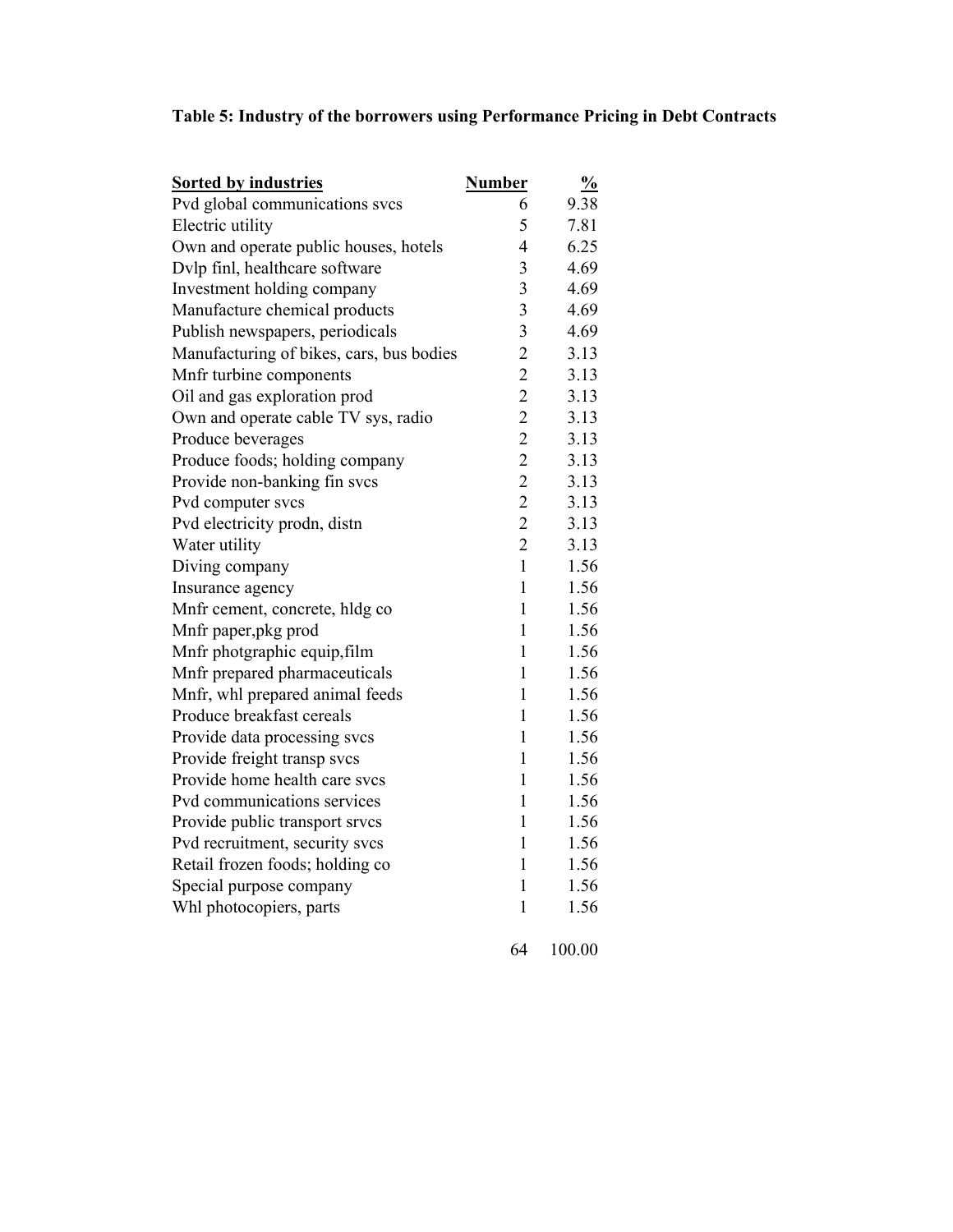#### Table 5: Industry of the borrowers using Performance Pricing in Debt Contracts

| <b>Sorted by industries</b>              | <b>Number</b>           | $\frac{0}{0}$ |
|------------------------------------------|-------------------------|---------------|
| Pvd global communications svcs           | 6                       | 9.38          |
| Electric utility                         | 5                       | 7.81          |
| Own and operate public houses, hotels    | 4                       | 6.25          |
| Dvlp finl, healthcare software           | 3                       | 4.69          |
| Investment holding company               | $\overline{\mathbf{3}}$ | 4.69          |
| Manufacture chemical products            | 3                       | 4.69          |
| Publish newspapers, periodicals          | 3                       | 4.69          |
| Manufacturing of bikes, cars, bus bodies | $\overline{c}$          | 3.13          |
| Mnfr turbine components                  | $\overline{c}$          | 3.13          |
| Oil and gas exploration prod             | $\overline{c}$          | 3.13          |
| Own and operate cable TV sys, radio      | $\overline{c}$          | 3.13          |
| Produce beverages                        | $\overline{c}$          | 3.13          |
| Produce foods; holding company           | $\overline{c}$          | 3.13          |
| Provide non-banking fin svcs             | $\overline{c}$          | 3.13          |
| Pvd computer svcs                        | $\overline{c}$          | 3.13          |
| Pvd electricity prodn, distn             | $\overline{c}$          | 3.13          |
| Water utility                            | $\overline{2}$          | 3.13          |
| Diving company                           | $\mathbf{1}$            | 1.56          |
| Insurance agency                         | $\mathbf{1}$            | 1.56          |
| Mnfr cement, concrete, hldg co           | $\mathbf{1}$            | 1.56          |
| Mnfr paper, pkg prod                     | $\mathbf{1}$            | 1.56          |
| Mnfr photgraphic equip, film             | 1                       | 1.56          |
| Mnfr prepared pharmaceuticals            | 1                       | 1.56          |
| Mnfr, whl prepared animal feeds          | $\mathbf 1$             | 1.56          |
| Produce breakfast cereals                | $\mathbf{1}$            | 1.56          |
| Provide data processing svcs             | $\mathbf{1}$            | 1.56          |
| Provide freight transp svcs              | $\mathbf{1}$            | 1.56          |
| Provide home health care svcs            | $\mathbf{1}$            | 1.56          |
| Pvd communications services              | $\mathbf{1}$            | 1.56          |
| Provide public transport srvcs           | $\mathbf{1}$            | 1.56          |
| Pvd recruitment, security svcs           | $\mathbf{1}$            | 1.56          |
| Retail frozen foods; holding co          | 1                       | 1.56          |
| Special purpose company                  | $\mathbf 1$             | 1.56          |
| Whl photocopiers, parts                  | $\mathbf{1}$            | 1.56          |
|                                          |                         |               |

64 100.00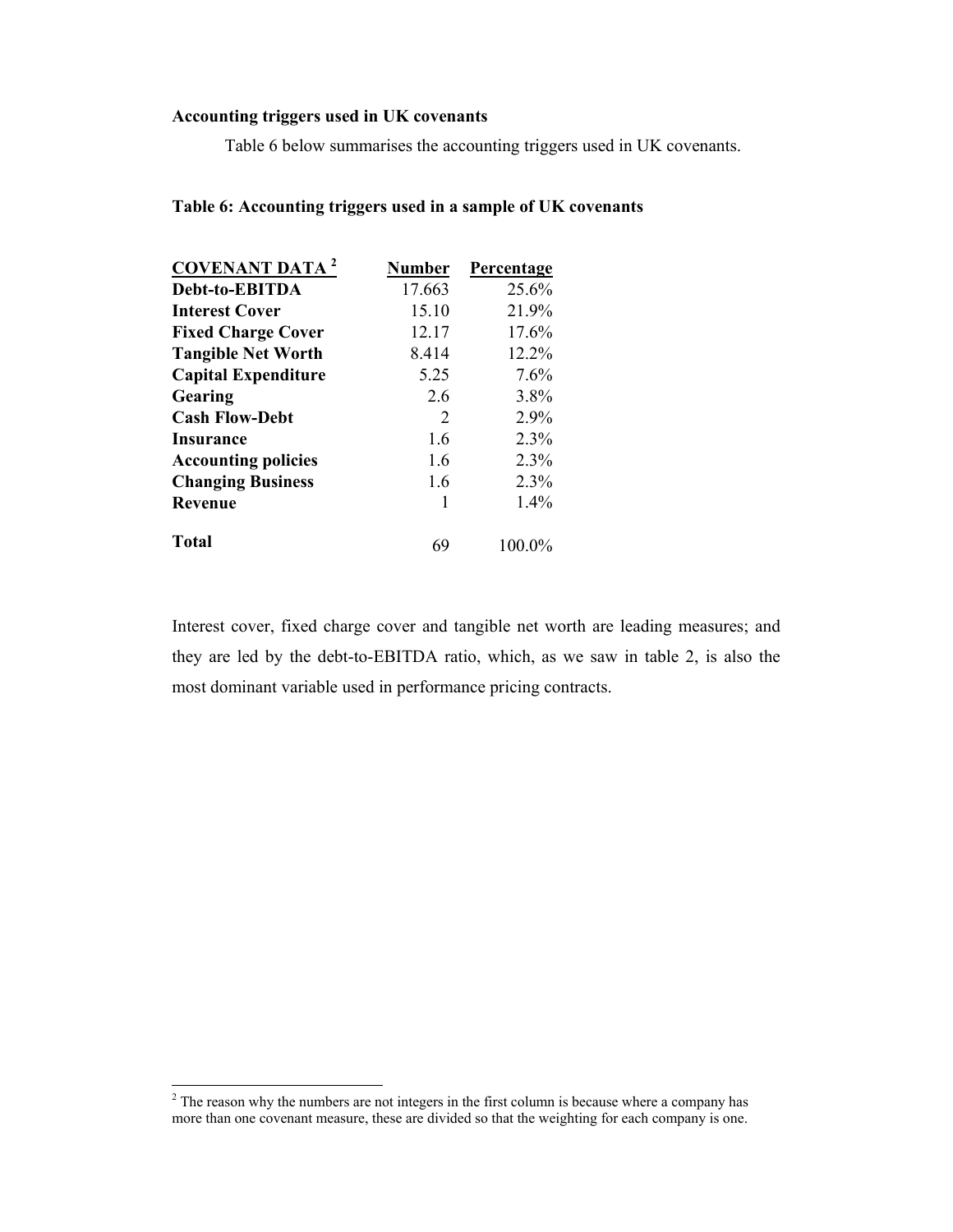#### Accounting triggers used in UK covenants

Table 6 below summarises the accounting triggers used in UK covenants.

#### Table 6: Accounting triggers used in a sample of UK covenants

| <b>COVENANT DATA<sup>2</sup></b> | Number | Percentage |
|----------------------------------|--------|------------|
| Debt-to-EBITDA                   | 17.663 | 25.6%      |
| <b>Interest Cover</b>            | 15.10  | 21.9%      |
| <b>Fixed Charge Cover</b>        | 12.17  | 17.6%      |
| <b>Tangible Net Worth</b>        | 8.414  | 12.2%      |
| <b>Capital Expenditure</b>       | 5.25   | 7.6%       |
| Gearing                          | 2.6    | 3.8%       |
| <b>Cash Flow-Debt</b>            | 2      | 2.9%       |
| Insurance                        | 1.6    | 2.3%       |
| <b>Accounting policies</b>       | 1.6    | 2.3%       |
| <b>Changing Business</b>         | 1.6    | 2.3%       |
| <b>Revenue</b>                   | 1      | $1.4\%$    |
| <b>Total</b>                     | 69     | 100.0%     |

Interest cover, fixed charge cover and tangible net worth are leading measures; and they are led by the debt-to-EBITDA ratio, which, as we saw in table 2, is also the most dominant variable used in performance pricing contracts.

<sup>&</sup>lt;sup>2</sup> The reason why the numbers are not integers in the first column is because where a company has more than one covenant measure, these are divided so that the weighting for each company is one.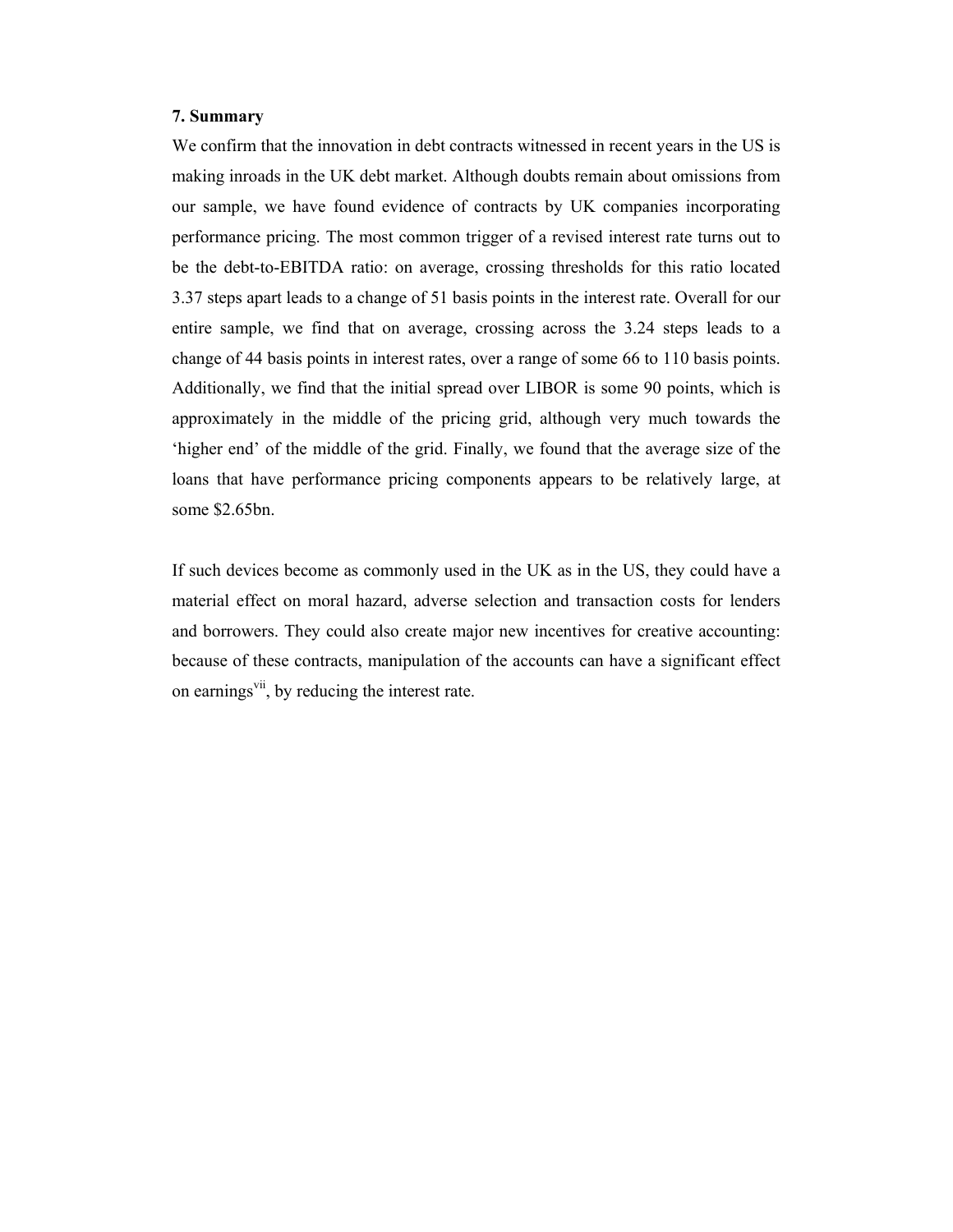#### 7. Summary

We confirm that the innovation in debt contracts witnessed in recent years in the US is making inroads in the UK debt market. Although doubts remain about omissions from our sample, we have found evidence of contracts by UK companies incorporating performance pricing. The most common trigger of a revised interest rate turns out to be the debt-to-EBITDA ratio: on average, crossing thresholds for this ratio located 3.37 steps apart leads to a change of 51 basis points in the interest rate. Overall for our entire sample, we find that on average, crossing across the 3.24 steps leads to a change of 44 basis points in interest rates, over a range of some 66 to 110 basis points. Additionally, we find that the initial spread over LIBOR is some 90 points, which is approximately in the middle of the pricing grid, although very much towards the 'higher end' of the middle of the grid. Finally, we found that the average size of the loans that have performance pricing components appears to be relatively large, at some \$2.65bn.

If such devices become as commonly used in the UK as in the US, they could have a material effect on moral hazard, adverse selection and transaction costs for lenders and borrowers. They could also create major new incentives for creative accounting: because of these contracts, manipulation of the accounts can have a significant effect on earnings<sup>vii</sup>, by reducing the interest rate.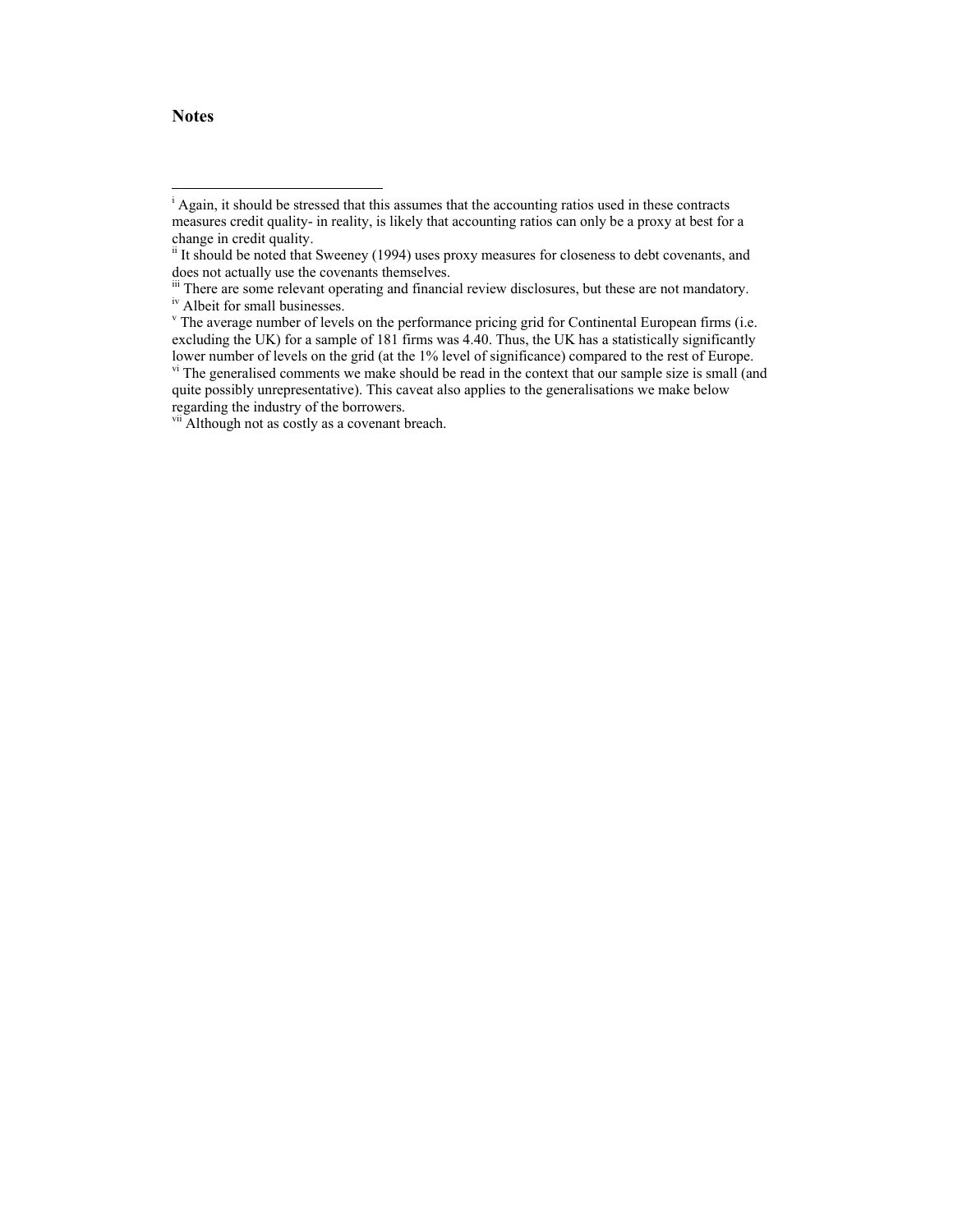#### **Notes**

 $\overline{a}$ 

<sup>&</sup>lt;sup>i</sup> Again, it should be stressed that this assumes that the accounting ratios used in these contracts measures credit quality- in reality, is likely that accounting ratios can only be a proxy at best for a change in credit quality.

<sup>&</sup>lt;sup>ii</sup> It should be noted that Sweeney (1994) uses proxy measures for closeness to debt covenants, and does not actually use the covenants themselves.

iii There are some relevant operating and financial review disclosures, but these are not mandatory. <sup>iv</sup> Albeit for small businesses.

<sup>&</sup>lt;sup>v</sup> The average number of levels on the performance pricing grid for Continental European firms (i.e. excluding the UK) for a sample of 181 firms was 4.40. Thus, the UK has a statistically significantly lower number of levels on the grid (at the 1% level of significance) compared to the rest of Europe.

vi The generalised comments we make should be read in the context that our sample size is small (and quite possibly unrepresentative). This caveat also applies to the generalisations we make below regarding the industry of the borrowers.

vii Although not as costly as a covenant breach.